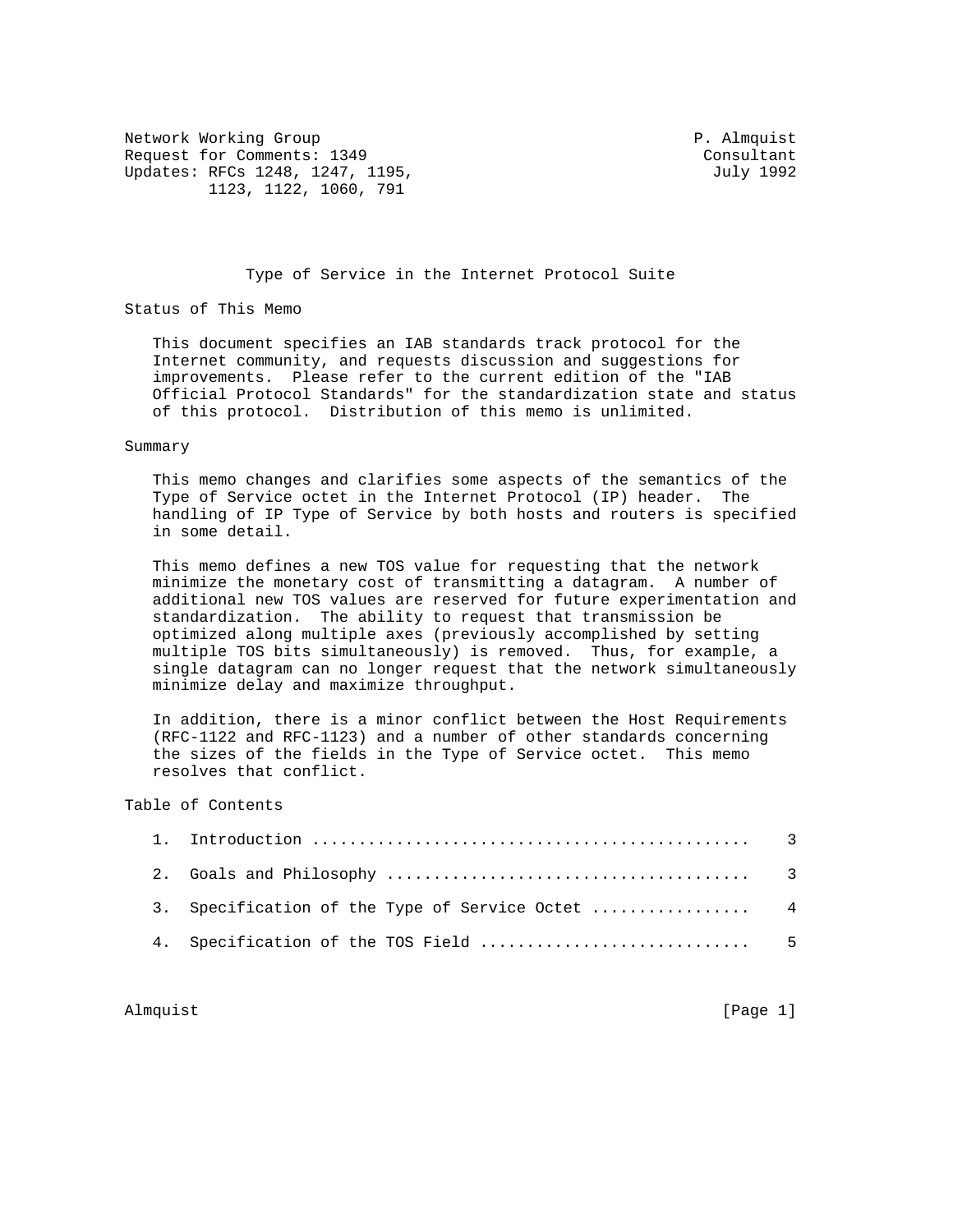Network Working Group **P. Almquist** P. Almquist Request for Comments: 1349 Consultant Updates: RFCs 1248, 1247, 1195, July 1992 1123, 1122, 1060, 791

## Type of Service in the Internet Protocol Suite

Status of This Memo

 This document specifies an IAB standards track protocol for the Internet community, and requests discussion and suggestions for improvements. Please refer to the current edition of the "IAB Official Protocol Standards" for the standardization state and status of this protocol. Distribution of this memo is unlimited.

### Summary

 This memo changes and clarifies some aspects of the semantics of the Type of Service octet in the Internet Protocol (IP) header. The handling of IP Type of Service by both hosts and routers is specified in some detail.

 This memo defines a new TOS value for requesting that the network minimize the monetary cost of transmitting a datagram. A number of additional new TOS values are reserved for future experimentation and standardization. The ability to request that transmission be optimized along multiple axes (previously accomplished by setting multiple TOS bits simultaneously) is removed. Thus, for example, a single datagram can no longer request that the network simultaneously minimize delay and maximize throughput.

 In addition, there is a minor conflict between the Host Requirements (RFC-1122 and RFC-1123) and a number of other standards concerning the sizes of the fields in the Type of Service octet. This memo resolves that conflict.

# Table of Contents

|  | 3. Specification of the Type of Service Octet  4 |  |
|--|--------------------------------------------------|--|
|  |                                                  |  |

Almquist [Page 1]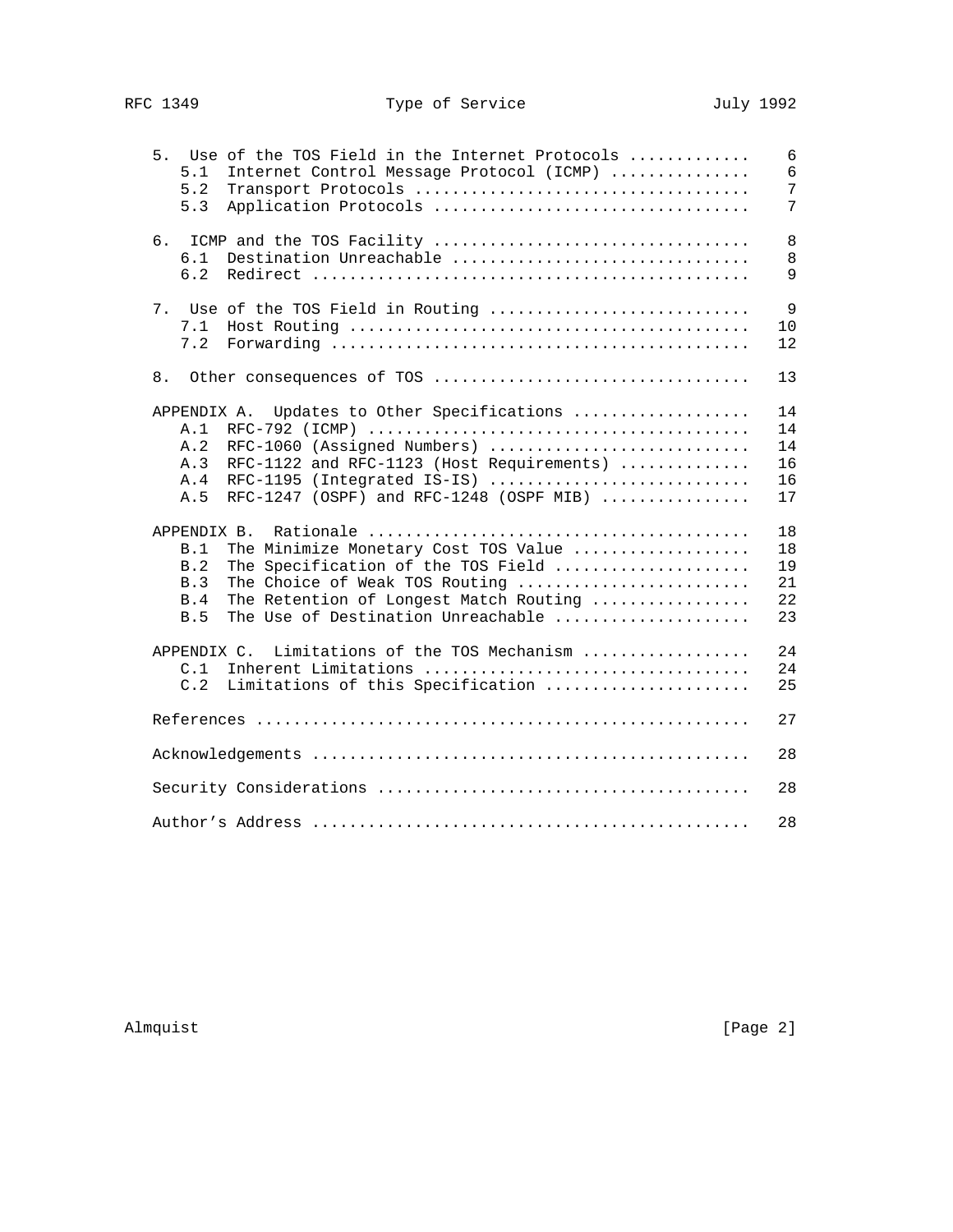| 5. Use of the TOS Field in the Internet Protocols<br>5.1<br>Internet Control Message Protocol (ICMP)<br>5.2<br>5.3<br>Application Protocols                                                                                                           | 6<br>6<br>7<br>7                 |
|-------------------------------------------------------------------------------------------------------------------------------------------------------------------------------------------------------------------------------------------------------|----------------------------------|
| 6.<br>Destination Unreachable<br>6.1<br>6.2                                                                                                                                                                                                           | 8<br>8<br>9                      |
| 7.<br>Use of the TOS Field in Routing<br>7.1<br>7.2                                                                                                                                                                                                   | 9<br>10<br>12                    |
| 8.                                                                                                                                                                                                                                                    | 13                               |
| Updates to Other Specifications<br>APPENDIX A.<br>A.1<br>A.2<br>RFC-1060 (Assigned Numbers)<br>RFC-1122 and RFC-1123 (Host Requirements)<br>A.3<br>RFC-1195 (Integrated IS-IS)<br>A.4<br>RFC-1247 (OSPF) and RFC-1248 (OSPF MIB) $\ldots$<br>A.5      | 14<br>14<br>14<br>16<br>16<br>17 |
| APPENDIX B.<br>The Minimize Monetary Cost TOS Value<br>B.1<br>B.2<br>The Specification of the TOS Field<br>B.3<br>The Choice of Weak TOS Routing<br>The Retention of Longest Match Routing<br><b>B.4</b><br>The Use of Destination Unreachable<br>B.5 | 18<br>18<br>19<br>21<br>22<br>23 |
| APPENDIX C.<br>Limitations of the TOS Mechanism<br>C.1<br>C.2<br>Limitations of this Specification                                                                                                                                                    | 24<br>24<br>25                   |
|                                                                                                                                                                                                                                                       | 27                               |
|                                                                                                                                                                                                                                                       | 28                               |
|                                                                                                                                                                                                                                                       | 28                               |
|                                                                                                                                                                                                                                                       | 28                               |

Almquist [Page 2]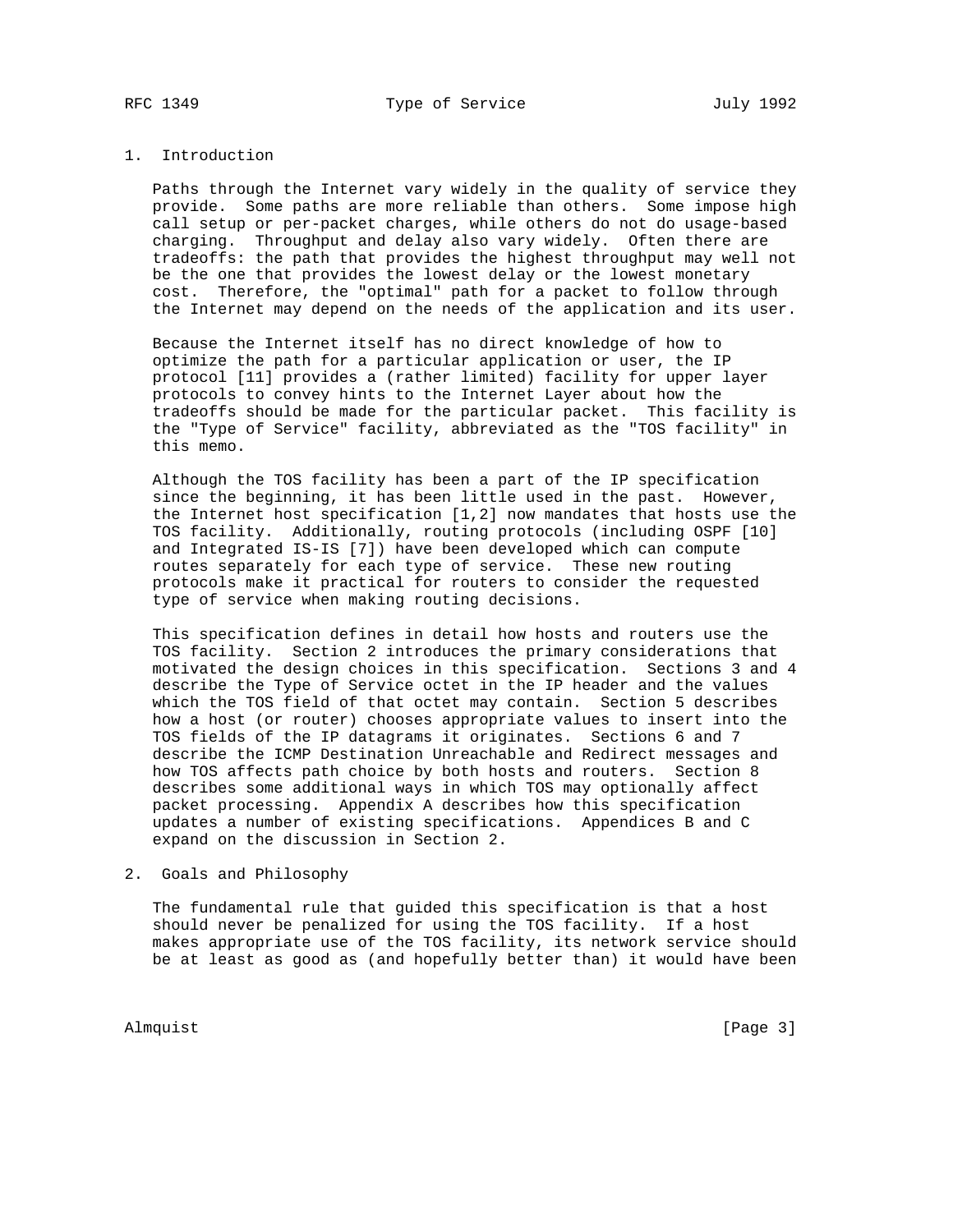### 1. Introduction

 Paths through the Internet vary widely in the quality of service they provide. Some paths are more reliable than others. Some impose high call setup or per-packet charges, while others do not do usage-based charging. Throughput and delay also vary widely. Often there are tradeoffs: the path that provides the highest throughput may well not be the one that provides the lowest delay or the lowest monetary cost. Therefore, the "optimal" path for a packet to follow through the Internet may depend on the needs of the application and its user.

 Because the Internet itself has no direct knowledge of how to optimize the path for a particular application or user, the IP protocol [11] provides a (rather limited) facility for upper layer protocols to convey hints to the Internet Layer about how the tradeoffs should be made for the particular packet. This facility is the "Type of Service" facility, abbreviated as the "TOS facility" in this memo.

 Although the TOS facility has been a part of the IP specification since the beginning, it has been little used in the past. However, the Internet host specification [1,2] now mandates that hosts use the TOS facility. Additionally, routing protocols (including OSPF [10] and Integrated IS-IS [7]) have been developed which can compute routes separately for each type of service. These new routing protocols make it practical for routers to consider the requested type of service when making routing decisions.

 This specification defines in detail how hosts and routers use the TOS facility. Section 2 introduces the primary considerations that motivated the design choices in this specification. Sections 3 and 4 describe the Type of Service octet in the IP header and the values which the TOS field of that octet may contain. Section 5 describes how a host (or router) chooses appropriate values to insert into the TOS fields of the IP datagrams it originates. Sections 6 and 7 describe the ICMP Destination Unreachable and Redirect messages and how TOS affects path choice by both hosts and routers. Section 8 describes some additional ways in which TOS may optionally affect packet processing. Appendix A describes how this specification updates a number of existing specifications. Appendices B and C expand on the discussion in Section 2.

# 2. Goals and Philosophy

 The fundamental rule that guided this specification is that a host should never be penalized for using the TOS facility. If a host makes appropriate use of the TOS facility, its network service should be at least as good as (and hopefully better than) it would have been

Almquist [Page 3]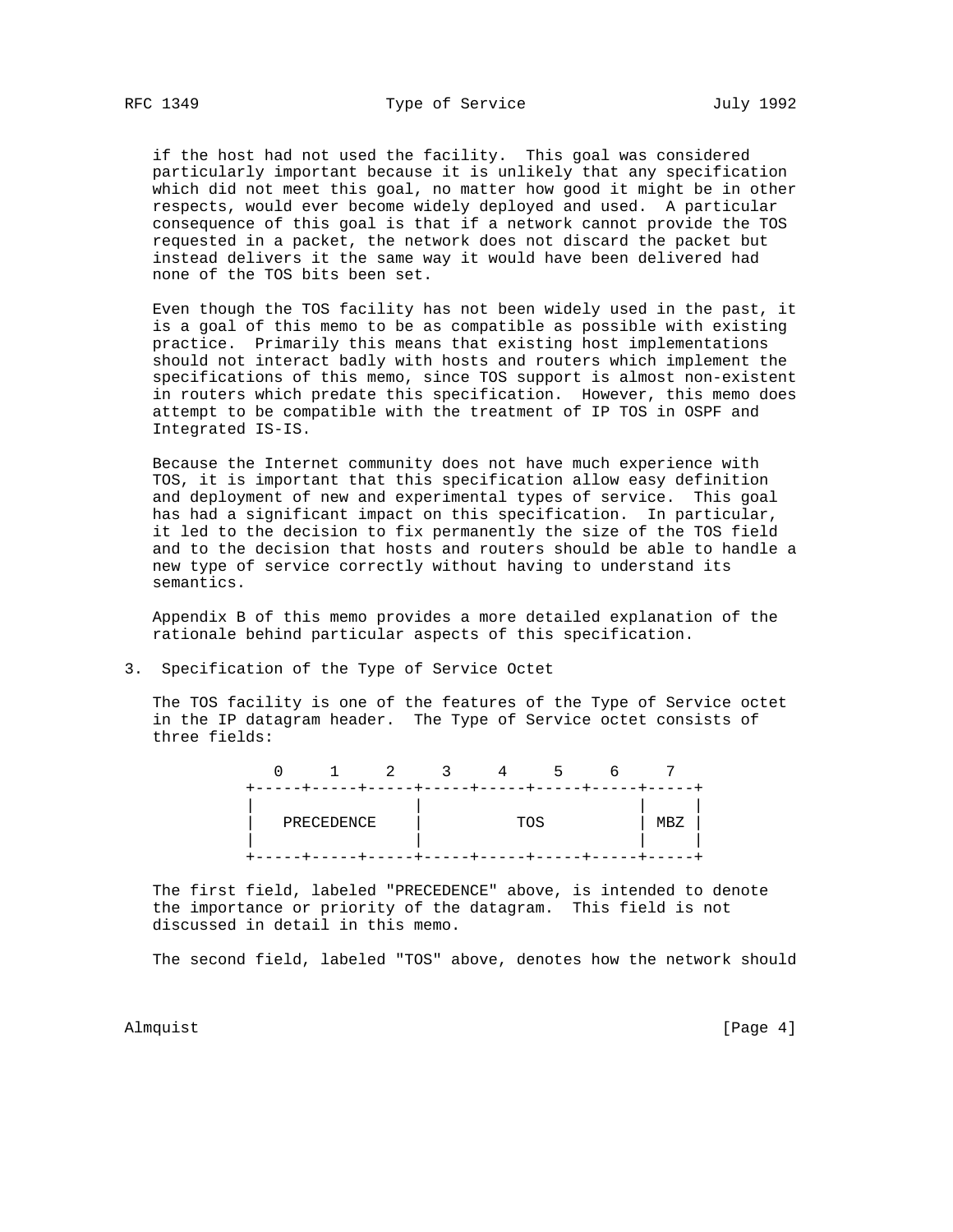if the host had not used the facility. This goal was considered particularly important because it is unlikely that any specification which did not meet this goal, no matter how good it might be in other respects, would ever become widely deployed and used. A particular consequence of this goal is that if a network cannot provide the TOS requested in a packet, the network does not discard the packet but instead delivers it the same way it would have been delivered had none of the TOS bits been set.

 Even though the TOS facility has not been widely used in the past, it is a goal of this memo to be as compatible as possible with existing practice. Primarily this means that existing host implementations should not interact badly with hosts and routers which implement the specifications of this memo, since TOS support is almost non-existent in routers which predate this specification. However, this memo does attempt to be compatible with the treatment of IP TOS in OSPF and Integrated IS-IS.

 Because the Internet community does not have much experience with TOS, it is important that this specification allow easy definition and deployment of new and experimental types of service. This goal has had a significant impact on this specification. In particular, it led to the decision to fix permanently the size of the TOS field and to the decision that hosts and routers should be able to handle a new type of service correctly without having to understand its semantics.

 Appendix B of this memo provides a more detailed explanation of the rationale behind particular aspects of this specification.

3. Specification of the Type of Service Octet

 The TOS facility is one of the features of the Type of Service octet in the IP datagram header. The Type of Service octet consists of three fields:

|  |            |  | 4   | כ |     |
|--|------------|--|-----|---|-----|
|  |            |  |     |   |     |
|  | PRECEDENCE |  | TOS |   | MBZ |
|  |            |  |     |   |     |

 The first field, labeled "PRECEDENCE" above, is intended to denote the importance or priority of the datagram. This field is not discussed in detail in this memo.

The second field, labeled "TOS" above, denotes how the network should

Almquist [Page 4]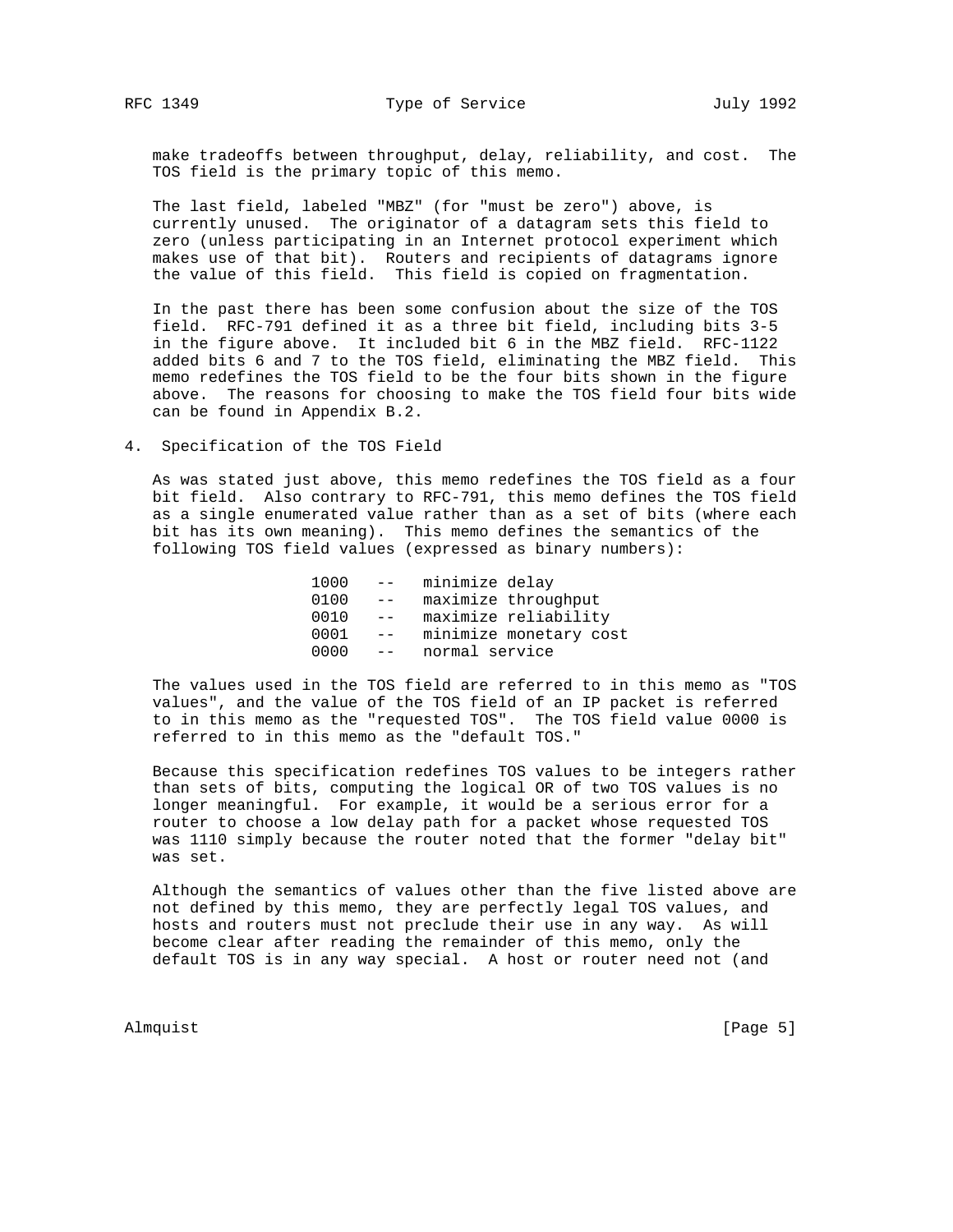make tradeoffs between throughput, delay, reliability, and cost. The TOS field is the primary topic of this memo.

 The last field, labeled "MBZ" (for "must be zero") above, is currently unused. The originator of a datagram sets this field to zero (unless participating in an Internet protocol experiment which makes use of that bit). Routers and recipients of datagrams ignore the value of this field. This field is copied on fragmentation.

 In the past there has been some confusion about the size of the TOS field. RFC-791 defined it as a three bit field, including bits 3-5 in the figure above. It included bit 6 in the MBZ field. RFC-1122 added bits 6 and 7 to the TOS field, eliminating the MBZ field. This memo redefines the TOS field to be the four bits shown in the figure above. The reasons for choosing to make the TOS field four bits wide can be found in Appendix B.2.

4. Specification of the TOS Field

 As was stated just above, this memo redefines the TOS field as a four bit field. Also contrary to RFC-791, this memo defines the TOS field as a single enumerated value rather than as a set of bits (where each bit has its own meaning). This memo defines the semantics of the following TOS field values (expressed as binary numbers):

| 1000 |       | -- minimize delay |                        |
|------|-------|-------------------|------------------------|
| 0100 | $- -$ |                   | maximize throughput    |
| 0010 | $- -$ |                   | maximize reliability   |
| 0001 | $- -$ |                   | minimize monetary cost |
| 0000 | $- -$ | normal service    |                        |
|      |       |                   |                        |

 The values used in the TOS field are referred to in this memo as "TOS values", and the value of the TOS field of an IP packet is referred to in this memo as the "requested TOS". The TOS field value 0000 is referred to in this memo as the "default TOS."

 Because this specification redefines TOS values to be integers rather than sets of bits, computing the logical OR of two TOS values is no longer meaningful. For example, it would be a serious error for a router to choose a low delay path for a packet whose requested TOS was 1110 simply because the router noted that the former "delay bit" was set.

 Although the semantics of values other than the five listed above are not defined by this memo, they are perfectly legal TOS values, and hosts and routers must not preclude their use in any way. As will become clear after reading the remainder of this memo, only the default TOS is in any way special. A host or router need not (and

Almquist [Page 5]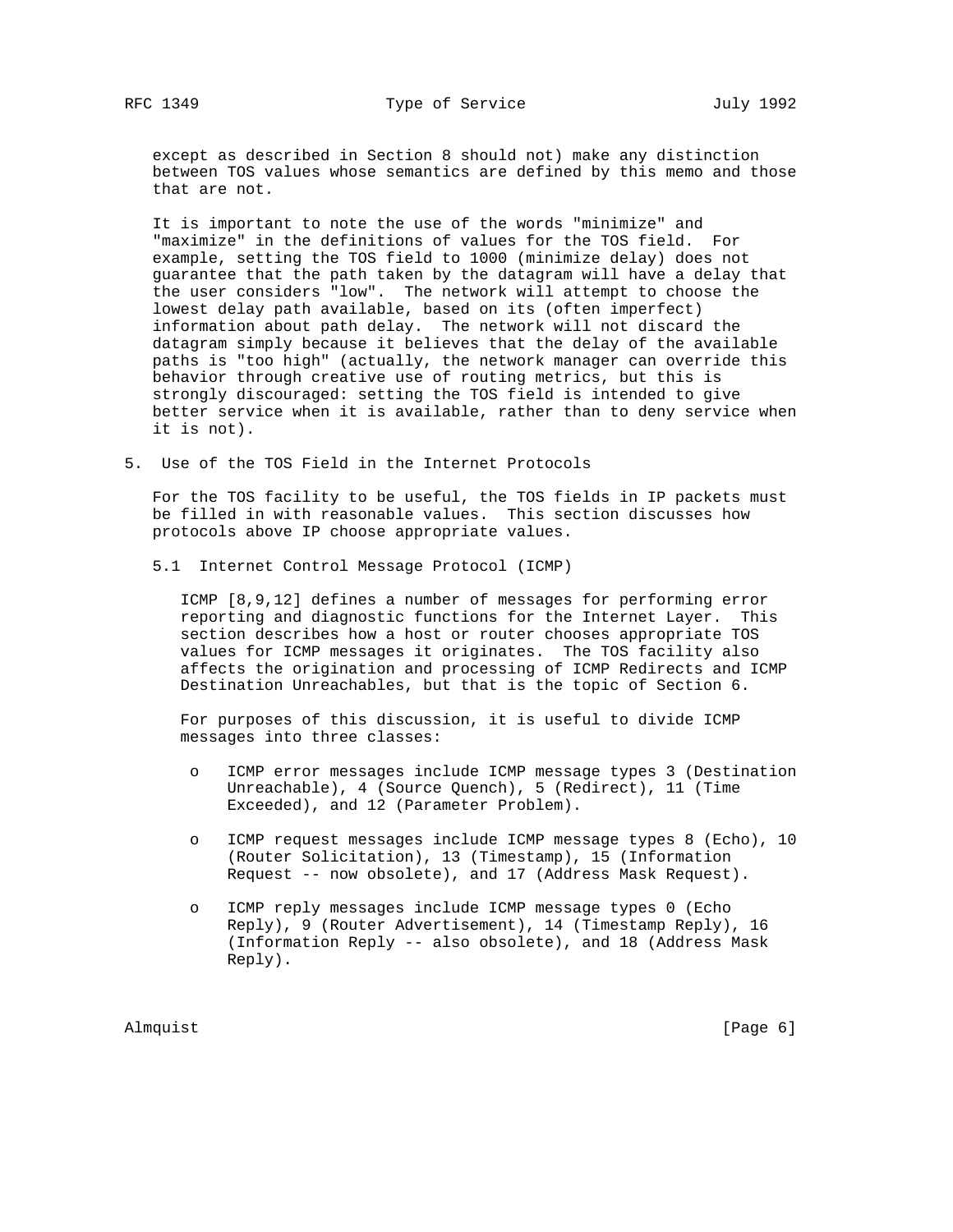except as described in Section 8 should not) make any distinction between TOS values whose semantics are defined by this memo and those that are not.

 It is important to note the use of the words "minimize" and "maximize" in the definitions of values for the TOS field. For example, setting the TOS field to 1000 (minimize delay) does not guarantee that the path taken by the datagram will have a delay that the user considers "low". The network will attempt to choose the lowest delay path available, based on its (often imperfect) information about path delay. The network will not discard the datagram simply because it believes that the delay of the available paths is "too high" (actually, the network manager can override this behavior through creative use of routing metrics, but this is strongly discouraged: setting the TOS field is intended to give better service when it is available, rather than to deny service when it is not).

5. Use of the TOS Field in the Internet Protocols

 For the TOS facility to be useful, the TOS fields in IP packets must be filled in with reasonable values. This section discusses how protocols above IP choose appropriate values.

5.1 Internet Control Message Protocol (ICMP)

 ICMP [8,9,12] defines a number of messages for performing error reporting and diagnostic functions for the Internet Layer. This section describes how a host or router chooses appropriate TOS values for ICMP messages it originates. The TOS facility also affects the origination and processing of ICMP Redirects and ICMP Destination Unreachables, but that is the topic of Section 6.

 For purposes of this discussion, it is useful to divide ICMP messages into three classes:

- o ICMP error messages include ICMP message types 3 (Destination Unreachable), 4 (Source Quench), 5 (Redirect), 11 (Time Exceeded), and 12 (Parameter Problem).
- o ICMP request messages include ICMP message types 8 (Echo), 10 (Router Solicitation), 13 (Timestamp), 15 (Information Request -- now obsolete), and 17 (Address Mask Request).
- o ICMP reply messages include ICMP message types 0 (Echo Reply), 9 (Router Advertisement), 14 (Timestamp Reply), 16 (Information Reply -- also obsolete), and 18 (Address Mask Reply).

Almquist [Page 6]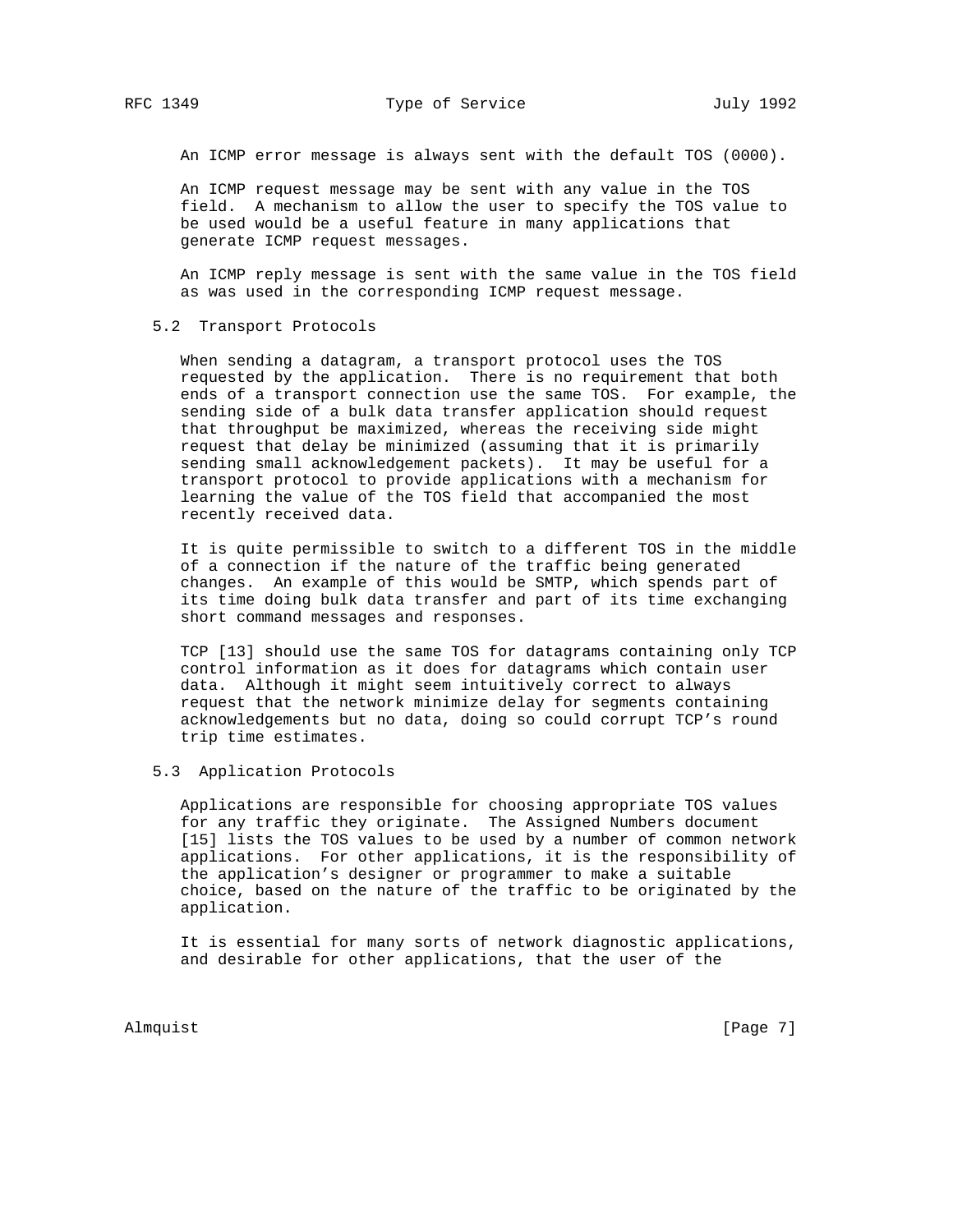An ICMP error message is always sent with the default TOS (0000).

 An ICMP request message may be sent with any value in the TOS field. A mechanism to allow the user to specify the TOS value to be used would be a useful feature in many applications that generate ICMP request messages.

 An ICMP reply message is sent with the same value in the TOS field as was used in the corresponding ICMP request message.

5.2 Transport Protocols

 When sending a datagram, a transport protocol uses the TOS requested by the application. There is no requirement that both ends of a transport connection use the same TOS. For example, the sending side of a bulk data transfer application should request that throughput be maximized, whereas the receiving side might request that delay be minimized (assuming that it is primarily sending small acknowledgement packets). It may be useful for a transport protocol to provide applications with a mechanism for learning the value of the TOS field that accompanied the most recently received data.

 It is quite permissible to switch to a different TOS in the middle of a connection if the nature of the traffic being generated changes. An example of this would be SMTP, which spends part of its time doing bulk data transfer and part of its time exchanging short command messages and responses.

 TCP [13] should use the same TOS for datagrams containing only TCP control information as it does for datagrams which contain user data. Although it might seem intuitively correct to always request that the network minimize delay for segments containing acknowledgements but no data, doing so could corrupt TCP's round trip time estimates.

# 5.3 Application Protocols

 Applications are responsible for choosing appropriate TOS values for any traffic they originate. The Assigned Numbers document [15] lists the TOS values to be used by a number of common network applications. For other applications, it is the responsibility of the application's designer or programmer to make a suitable choice, based on the nature of the traffic to be originated by the application.

 It is essential for many sorts of network diagnostic applications, and desirable for other applications, that the user of the

Almquist [Page 7]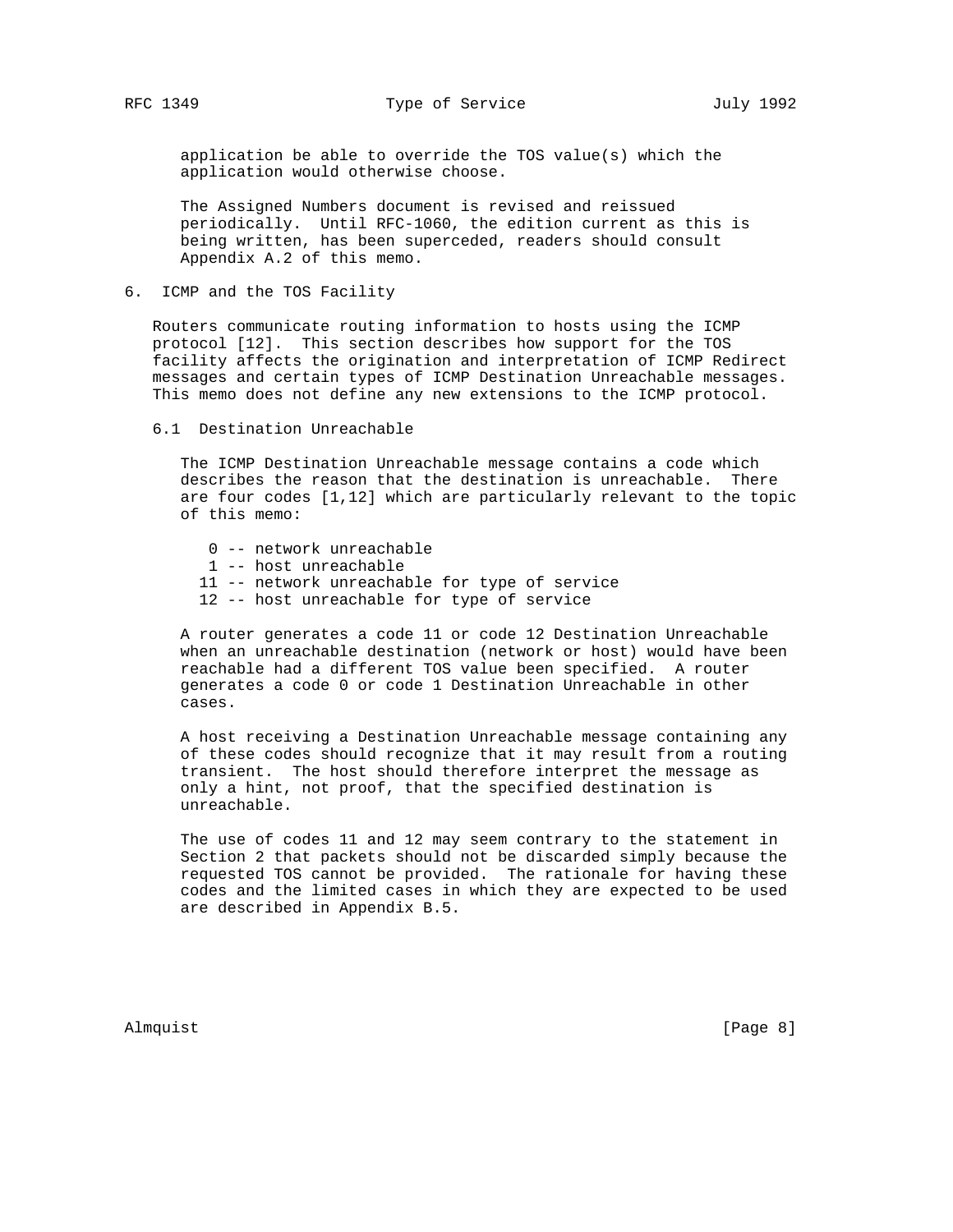application be able to override the TOS value(s) which the application would otherwise choose.

 The Assigned Numbers document is revised and reissued periodically. Until RFC-1060, the edition current as this is being written, has been superceded, readers should consult Appendix A.2 of this memo.

6. ICMP and the TOS Facility

 Routers communicate routing information to hosts using the ICMP protocol [12]. This section describes how support for the TOS facility affects the origination and interpretation of ICMP Redirect messages and certain types of ICMP Destination Unreachable messages. This memo does not define any new extensions to the ICMP protocol.

6.1 Destination Unreachable

 The ICMP Destination Unreachable message contains a code which describes the reason that the destination is unreachable. There are four codes [1,12] which are particularly relevant to the topic of this memo:

- 0 -- network unreachable
- 1 -- host unreachable
- 11 -- network unreachable for type of service
- 12 -- host unreachable for type of service

 A router generates a code 11 or code 12 Destination Unreachable when an unreachable destination (network or host) would have been reachable had a different TOS value been specified. A router generates a code 0 or code 1 Destination Unreachable in other cases.

 A host receiving a Destination Unreachable message containing any of these codes should recognize that it may result from a routing transient. The host should therefore interpret the message as only a hint, not proof, that the specified destination is unreachable.

 The use of codes 11 and 12 may seem contrary to the statement in Section 2 that packets should not be discarded simply because the requested TOS cannot be provided. The rationale for having these codes and the limited cases in which they are expected to be used are described in Appendix B.5.

Almquist [Page 8]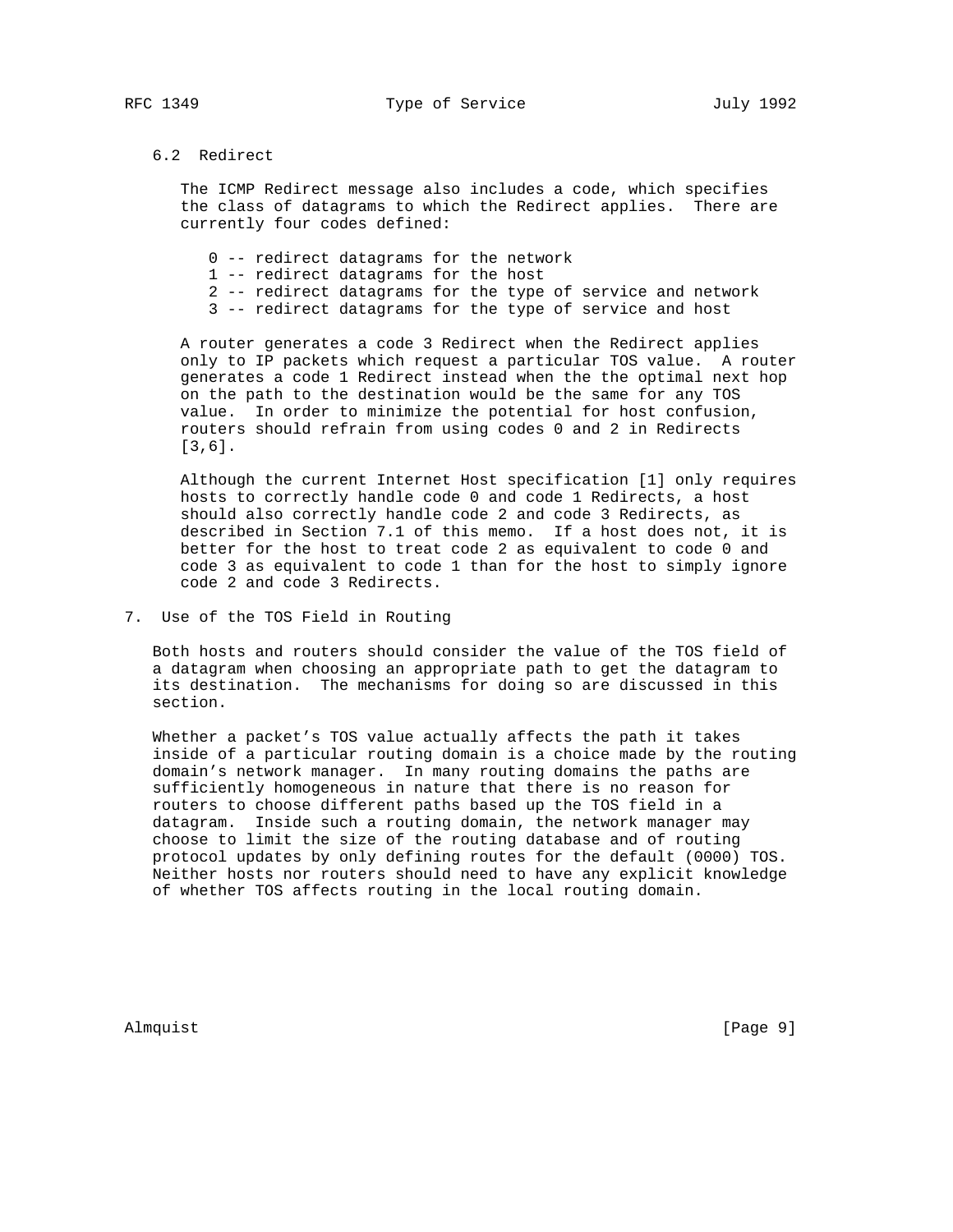### 6.2 Redirect

 The ICMP Redirect message also includes a code, which specifies the class of datagrams to which the Redirect applies. There are currently four codes defined:

- 0 -- redirect datagrams for the network
- 1 -- redirect datagrams for the host
- 2 -- redirect datagrams for the type of service and network
- 3 -- redirect datagrams for the type of service and host

 A router generates a code 3 Redirect when the Redirect applies only to IP packets which request a particular TOS value. A router generates a code 1 Redirect instead when the the optimal next hop on the path to the destination would be the same for any TOS value. In order to minimize the potential for host confusion, routers should refrain from using codes 0 and 2 in Redirects [3,6].

 Although the current Internet Host specification [1] only requires hosts to correctly handle code 0 and code 1 Redirects, a host should also correctly handle code 2 and code 3 Redirects, as described in Section 7.1 of this memo. If a host does not, it is better for the host to treat code 2 as equivalent to code 0 and code 3 as equivalent to code 1 than for the host to simply ignore code 2 and code 3 Redirects.

7. Use of the TOS Field in Routing

 Both hosts and routers should consider the value of the TOS field of a datagram when choosing an appropriate path to get the datagram to its destination. The mechanisms for doing so are discussed in this section.

 Whether a packet's TOS value actually affects the path it takes inside of a particular routing domain is a choice made by the routing domain's network manager. In many routing domains the paths are sufficiently homogeneous in nature that there is no reason for routers to choose different paths based up the TOS field in a datagram. Inside such a routing domain, the network manager may choose to limit the size of the routing database and of routing protocol updates by only defining routes for the default (0000) TOS. Neither hosts nor routers should need to have any explicit knowledge of whether TOS affects routing in the local routing domain.

Almquist [Page 9]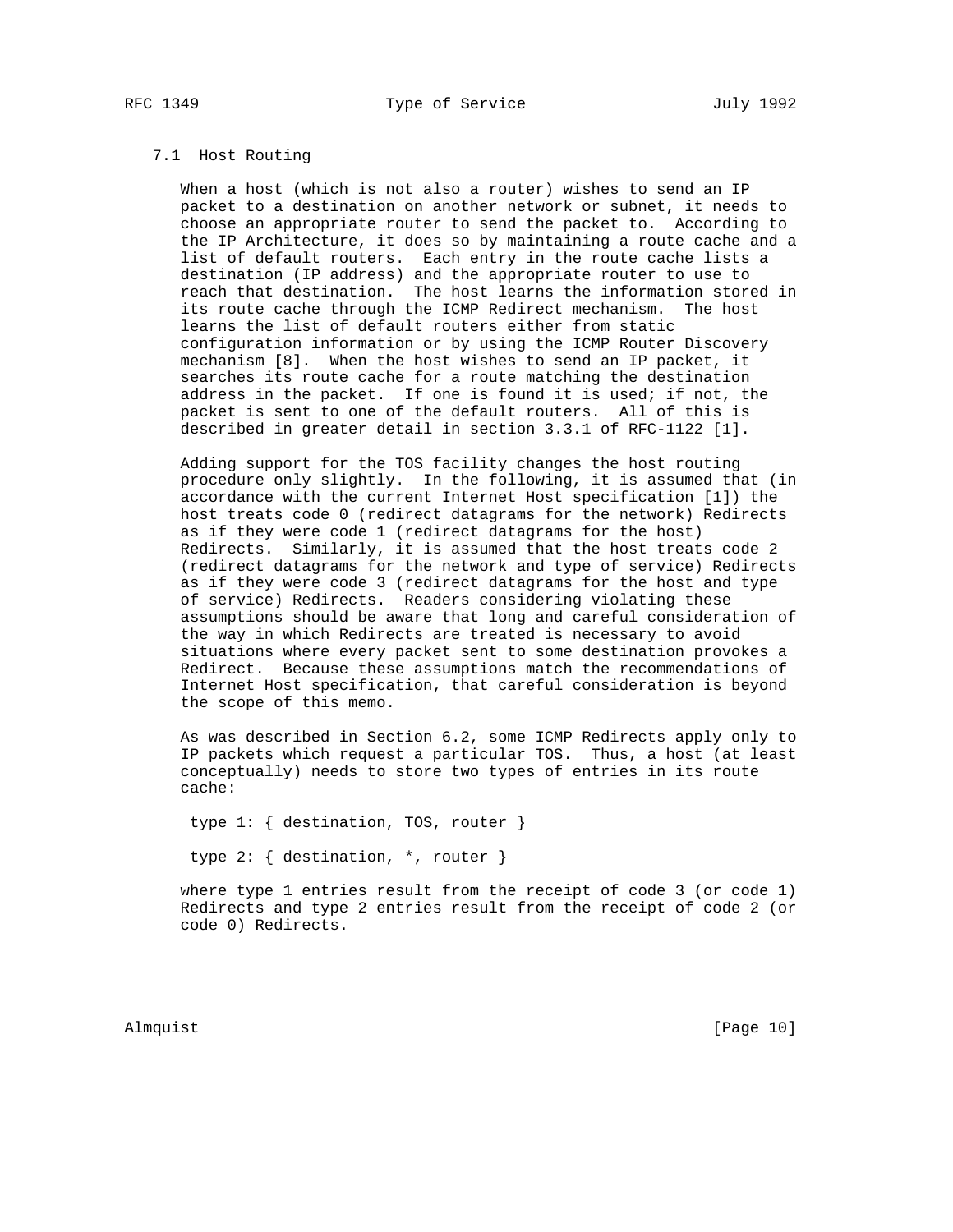# 7.1 Host Routing

 When a host (which is not also a router) wishes to send an IP packet to a destination on another network or subnet, it needs to choose an appropriate router to send the packet to. According to the IP Architecture, it does so by maintaining a route cache and a list of default routers. Each entry in the route cache lists a destination (IP address) and the appropriate router to use to reach that destination. The host learns the information stored in its route cache through the ICMP Redirect mechanism. The host learns the list of default routers either from static configuration information or by using the ICMP Router Discovery mechanism [8]. When the host wishes to send an IP packet, it searches its route cache for a route matching the destination address in the packet. If one is found it is used; if not, the packet is sent to one of the default routers. All of this is described in greater detail in section 3.3.1 of RFC-1122 [1].

 Adding support for the TOS facility changes the host routing procedure only slightly. In the following, it is assumed that (in accordance with the current Internet Host specification [1]) the host treats code 0 (redirect datagrams for the network) Redirects as if they were code 1 (redirect datagrams for the host) Redirects. Similarly, it is assumed that the host treats code 2 (redirect datagrams for the network and type of service) Redirects as if they were code 3 (redirect datagrams for the host and type of service) Redirects. Readers considering violating these assumptions should be aware that long and careful consideration of the way in which Redirects are treated is necessary to avoid situations where every packet sent to some destination provokes a Redirect. Because these assumptions match the recommendations of Internet Host specification, that careful consideration is beyond the scope of this memo.

 As was described in Section 6.2, some ICMP Redirects apply only to IP packets which request a particular TOS. Thus, a host (at least conceptually) needs to store two types of entries in its route cache:

 type 1: { destination, TOS, router } type 2: { destination, \*, router }

 where type 1 entries result from the receipt of code 3 (or code 1) Redirects and type 2 entries result from the receipt of code 2 (or code 0) Redirects.

Almquist [Page 10]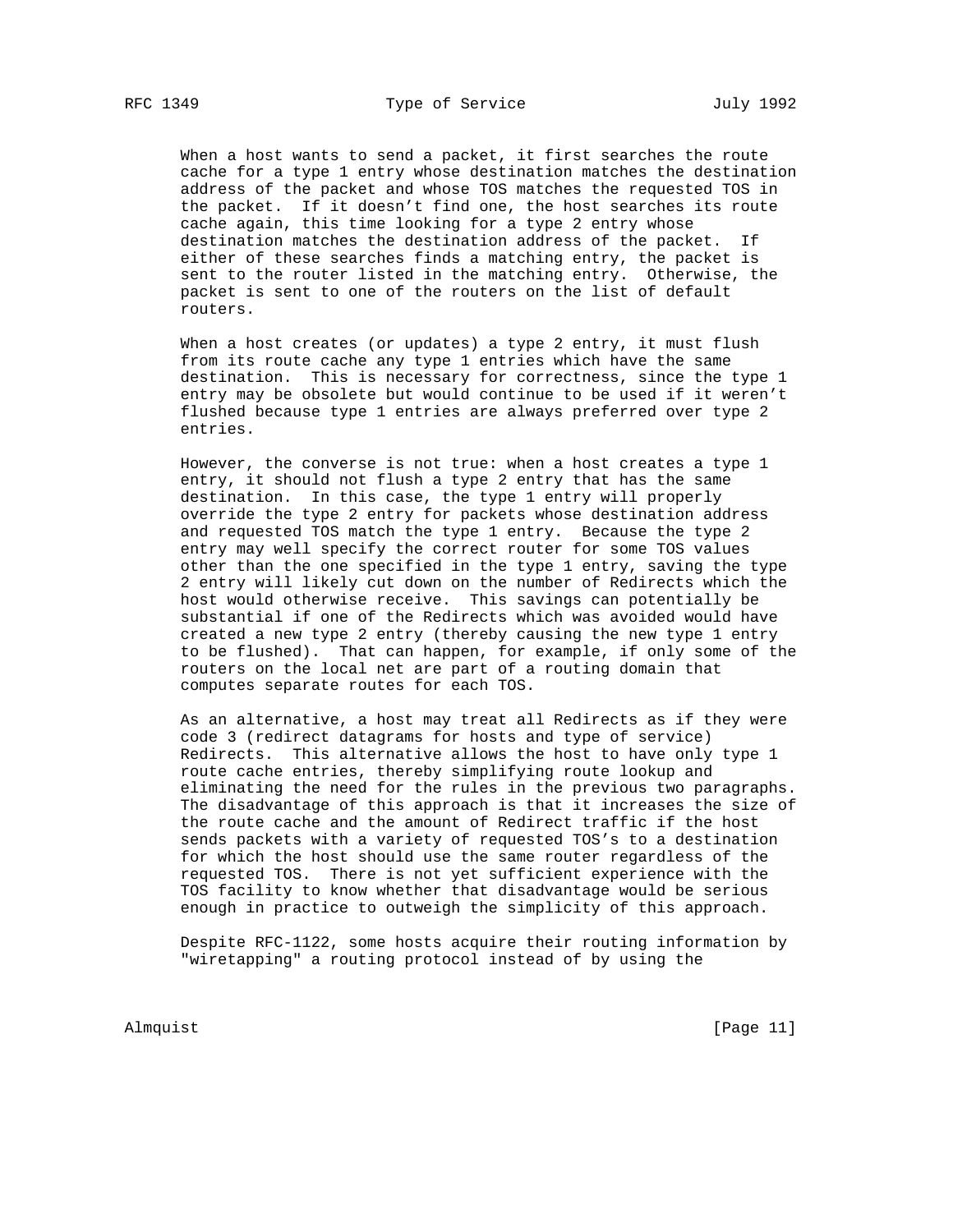When a host wants to send a packet, it first searches the route cache for a type 1 entry whose destination matches the destination address of the packet and whose TOS matches the requested TOS in the packet. If it doesn't find one, the host searches its route cache again, this time looking for a type 2 entry whose destination matches the destination address of the packet. If either of these searches finds a matching entry, the packet is sent to the router listed in the matching entry. Otherwise, the packet is sent to one of the routers on the list of default routers.

When a host creates (or updates) a type 2 entry, it must flush from its route cache any type 1 entries which have the same destination. This is necessary for correctness, since the type 1 entry may be obsolete but would continue to be used if it weren't flushed because type 1 entries are always preferred over type 2 entries.

 However, the converse is not true: when a host creates a type 1 entry, it should not flush a type 2 entry that has the same destination. In this case, the type 1 entry will properly override the type 2 entry for packets whose destination address and requested TOS match the type 1 entry. Because the type 2 entry may well specify the correct router for some TOS values other than the one specified in the type 1 entry, saving the type 2 entry will likely cut down on the number of Redirects which the host would otherwise receive. This savings can potentially be substantial if one of the Redirects which was avoided would have created a new type 2 entry (thereby causing the new type 1 entry to be flushed). That can happen, for example, if only some of the routers on the local net are part of a routing domain that computes separate routes for each TOS.

 As an alternative, a host may treat all Redirects as if they were code 3 (redirect datagrams for hosts and type of service) Redirects. This alternative allows the host to have only type 1 route cache entries, thereby simplifying route lookup and eliminating the need for the rules in the previous two paragraphs. The disadvantage of this approach is that it increases the size of the route cache and the amount of Redirect traffic if the host sends packets with a variety of requested TOS's to a destination for which the host should use the same router regardless of the requested TOS. There is not yet sufficient experience with the TOS facility to know whether that disadvantage would be serious enough in practice to outweigh the simplicity of this approach.

 Despite RFC-1122, some hosts acquire their routing information by "wiretapping" a routing protocol instead of by using the

Almquist [Page 11]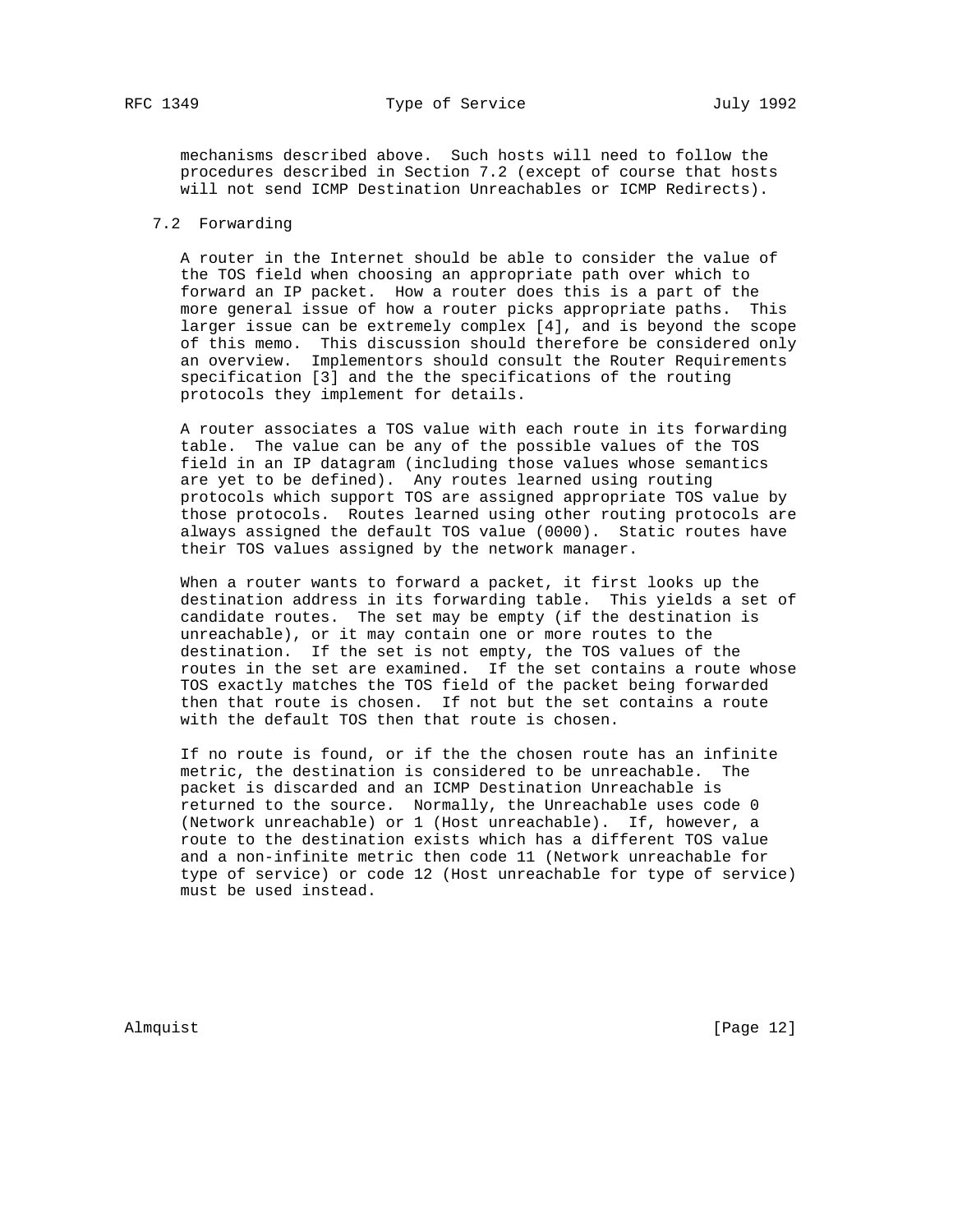mechanisms described above. Such hosts will need to follow the procedures described in Section 7.2 (except of course that hosts will not send ICMP Destination Unreachables or ICMP Redirects).

## 7.2 Forwarding

 A router in the Internet should be able to consider the value of the TOS field when choosing an appropriate path over which to forward an IP packet. How a router does this is a part of the more general issue of how a router picks appropriate paths. This larger issue can be extremely complex [4], and is beyond the scope of this memo. This discussion should therefore be considered only an overview. Implementors should consult the Router Requirements specification [3] and the the specifications of the routing protocols they implement for details.

 A router associates a TOS value with each route in its forwarding table. The value can be any of the possible values of the TOS field in an IP datagram (including those values whose semantics are yet to be defined). Any routes learned using routing protocols which support TOS are assigned appropriate TOS value by those protocols. Routes learned using other routing protocols are always assigned the default TOS value (0000). Static routes have their TOS values assigned by the network manager.

 When a router wants to forward a packet, it first looks up the destination address in its forwarding table. This yields a set of candidate routes. The set may be empty (if the destination is unreachable), or it may contain one or more routes to the destination. If the set is not empty, the TOS values of the routes in the set are examined. If the set contains a route whose TOS exactly matches the TOS field of the packet being forwarded then that route is chosen. If not but the set contains a route with the default TOS then that route is chosen.

 If no route is found, or if the the chosen route has an infinite metric, the destination is considered to be unreachable. The packet is discarded and an ICMP Destination Unreachable is returned to the source. Normally, the Unreachable uses code 0 (Network unreachable) or 1 (Host unreachable). If, however, a route to the destination exists which has a different TOS value and a non-infinite metric then code 11 (Network unreachable for type of service) or code 12 (Host unreachable for type of service) must be used instead.

Almquist [Page 12]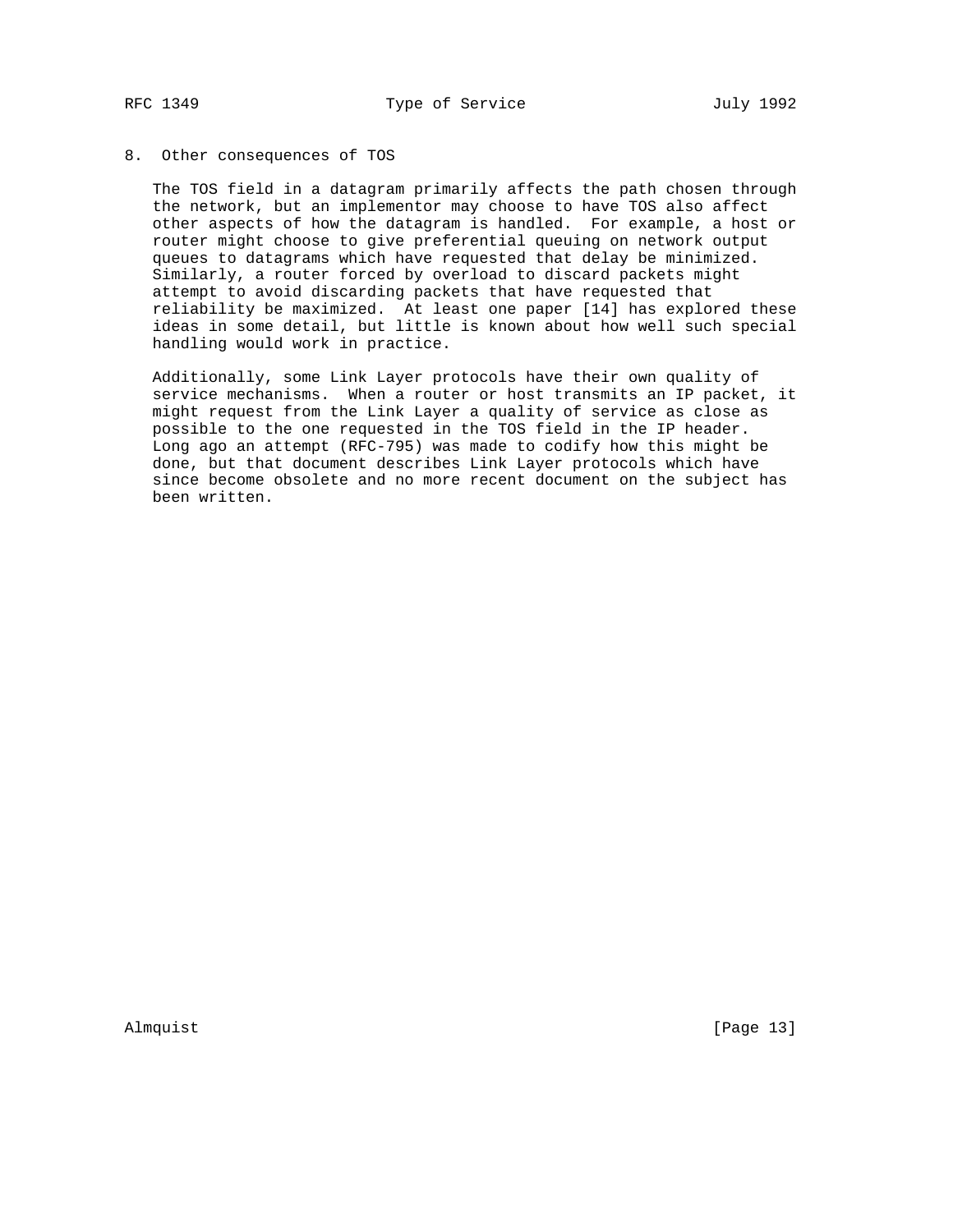### 8. Other consequences of TOS

 The TOS field in a datagram primarily affects the path chosen through the network, but an implementor may choose to have TOS also affect other aspects of how the datagram is handled. For example, a host or router might choose to give preferential queuing on network output queues to datagrams which have requested that delay be minimized. Similarly, a router forced by overload to discard packets might attempt to avoid discarding packets that have requested that reliability be maximized. At least one paper [14] has explored these ideas in some detail, but little is known about how well such special handling would work in practice.

 Additionally, some Link Layer protocols have their own quality of service mechanisms. When a router or host transmits an IP packet, it might request from the Link Layer a quality of service as close as possible to the one requested in the TOS field in the IP header. Long ago an attempt (RFC-795) was made to codify how this might be done, but that document describes Link Layer protocols which have since become obsolete and no more recent document on the subject has been written.

Almquist [Page 13]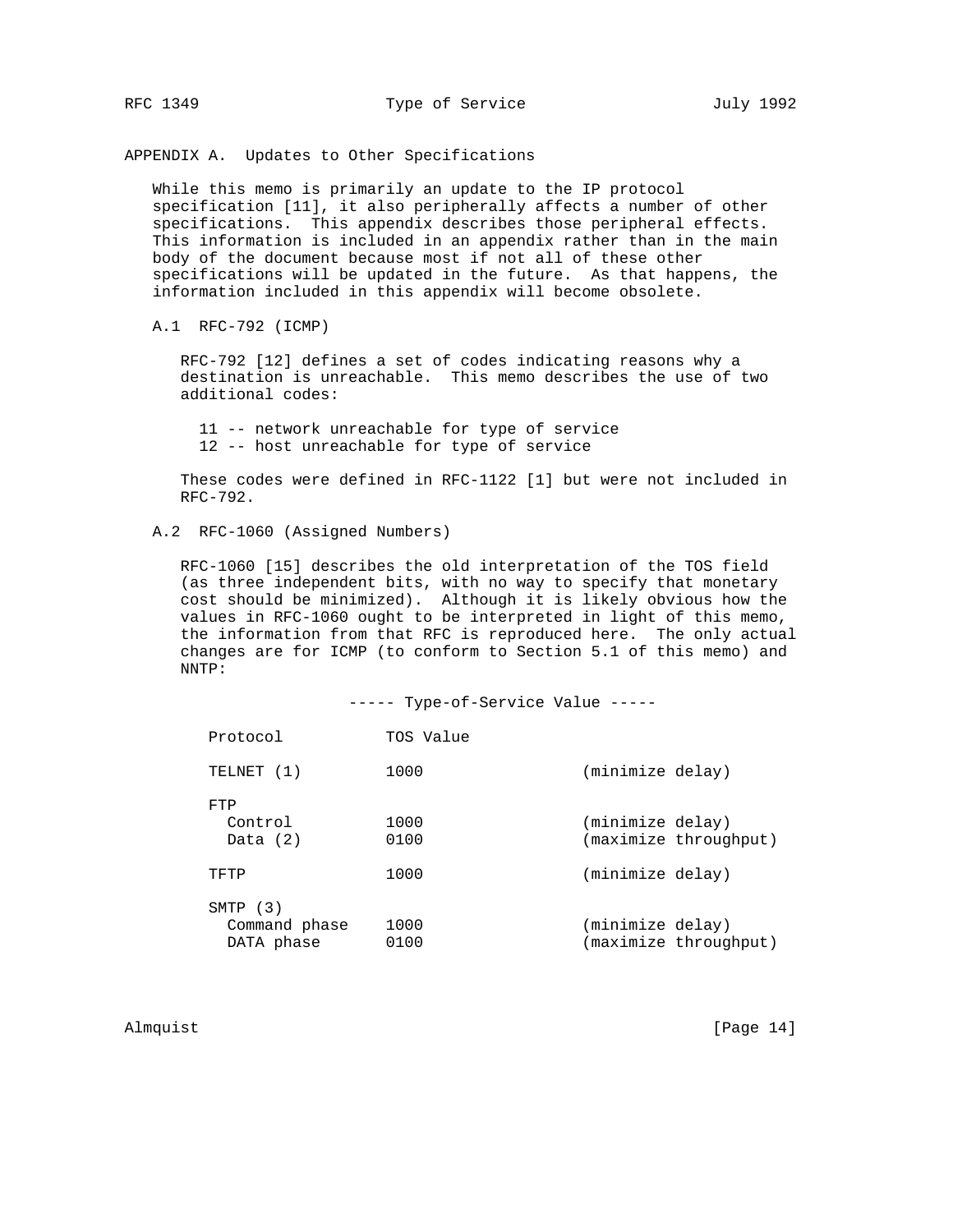APPENDIX A. Updates to Other Specifications

 While this memo is primarily an update to the IP protocol specification [11], it also peripherally affects a number of other specifications. This appendix describes those peripheral effects. This information is included in an appendix rather than in the main body of the document because most if not all of these other specifications will be updated in the future. As that happens, the information included in this appendix will become obsolete.

A.1 RFC-792 (ICMP)

 RFC-792 [12] defines a set of codes indicating reasons why a destination is unreachable. This memo describes the use of two additional codes:

 11 -- network unreachable for type of service 12 -- host unreachable for type of service

 These codes were defined in RFC-1122 [1] but were not included in RFC-792.

# A.2 RFC-1060 (Assigned Numbers)

 RFC-1060 [15] describes the old interpretation of the TOS field (as three independent bits, with no way to specify that monetary cost should be minimized). Although it is likely obvious how the values in RFC-1060 ought to be interpreted in light of this memo, the information from that RFC is reproduced here. The only actual changes are for ICMP (to conform to Section 5.1 of this memo) and NNTP:

|                                           | ----- Type-of-Service Value ----- |                  |                       |
|-------------------------------------------|-----------------------------------|------------------|-----------------------|
| Protocol                                  | TOS Value                         |                  |                       |
| TELNET (1)                                | 1000                              | (minimize delay) |                       |
| FTP<br>Control<br>Data $(2)$              | 1000<br>0100                      | (minimize delay) | (maximize throughput) |
| TFTP                                      | 1000                              | (minimize delay) |                       |
| $SMTP$ (3)<br>Command phase<br>DATA phase | 1000<br>0100                      | (minimize delay) | (maximize throughput) |

Almquist [Page 14]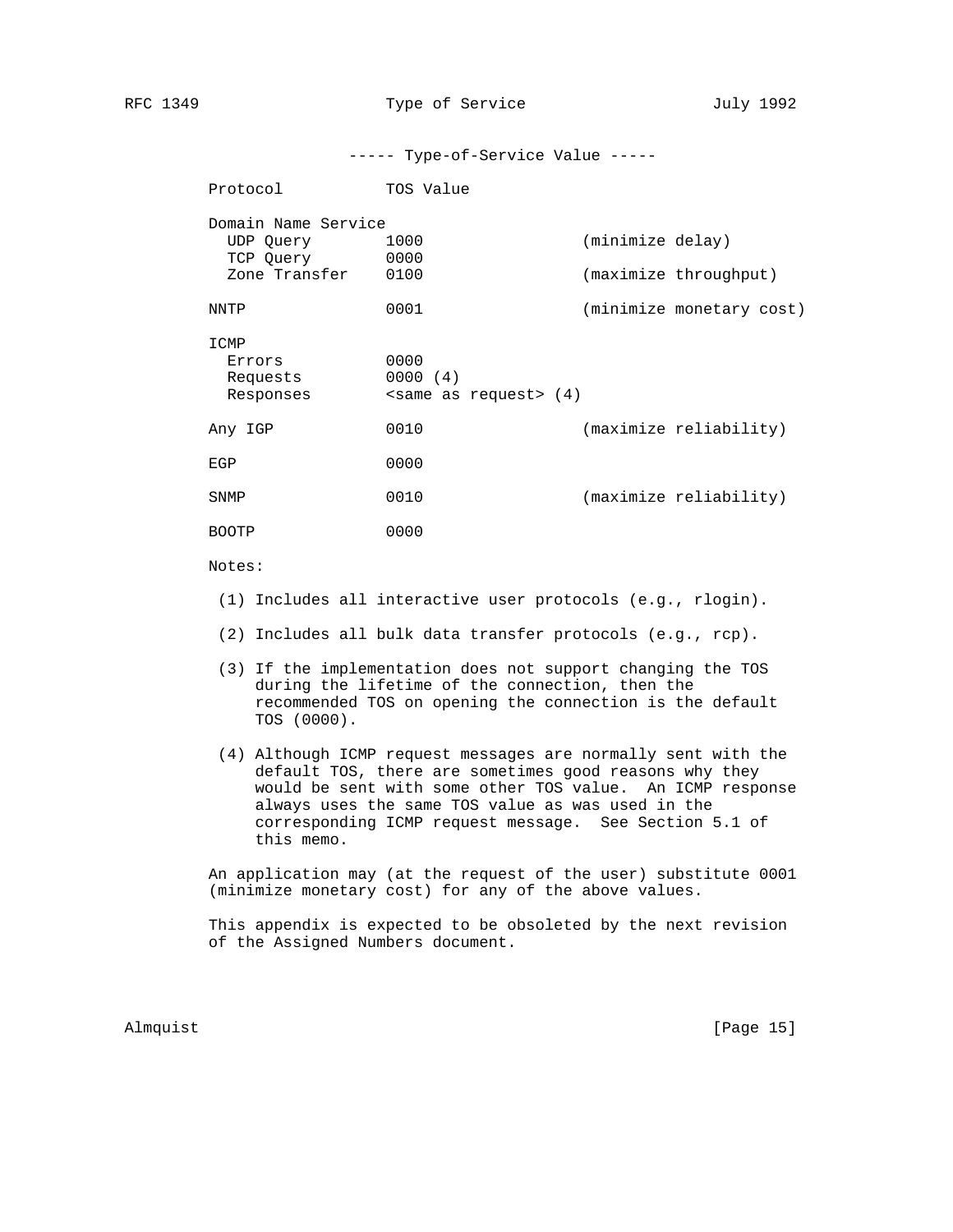----- Type-of-Service Value -----

| Protocol                                                       | TOS Value                        |                                           |
|----------------------------------------------------------------|----------------------------------|-------------------------------------------|
| Domain Name Service<br>UDP Query<br>TCP Query<br>Zone Transfer | 1000<br>0000<br>0100             | (minimize delay)<br>(maximize throughput) |
| NNTP                                                           | 0001                             | (minimize monetary cost)                  |
| ICMP<br>Errors<br>Requests<br>Responses                        | 0000<br>0000(4)<br>$\frac{1}{4}$ |                                           |
| Any IGP                                                        | 0010                             | (maximize reliability)                    |
| EGP                                                            | 0000                             |                                           |
| SNMP                                                           | 0010                             | (maximize reliability)                    |
| <b>BOOTP</b>                                                   | 0000                             |                                           |

### Notes:

- (1) Includes all interactive user protocols (e.g., rlogin).
- (2) Includes all bulk data transfer protocols (e.g., rcp).
- (3) If the implementation does not support changing the TOS during the lifetime of the connection, then the recommended TOS on opening the connection is the default TOS (0000).
- (4) Although ICMP request messages are normally sent with the default TOS, there are sometimes good reasons why they would be sent with some other TOS value. An ICMP response always uses the same TOS value as was used in the corresponding ICMP request message. See Section 5.1 of this memo.

 An application may (at the request of the user) substitute 0001 (minimize monetary cost) for any of the above values.

 This appendix is expected to be obsoleted by the next revision of the Assigned Numbers document.

Almquist [Page 15]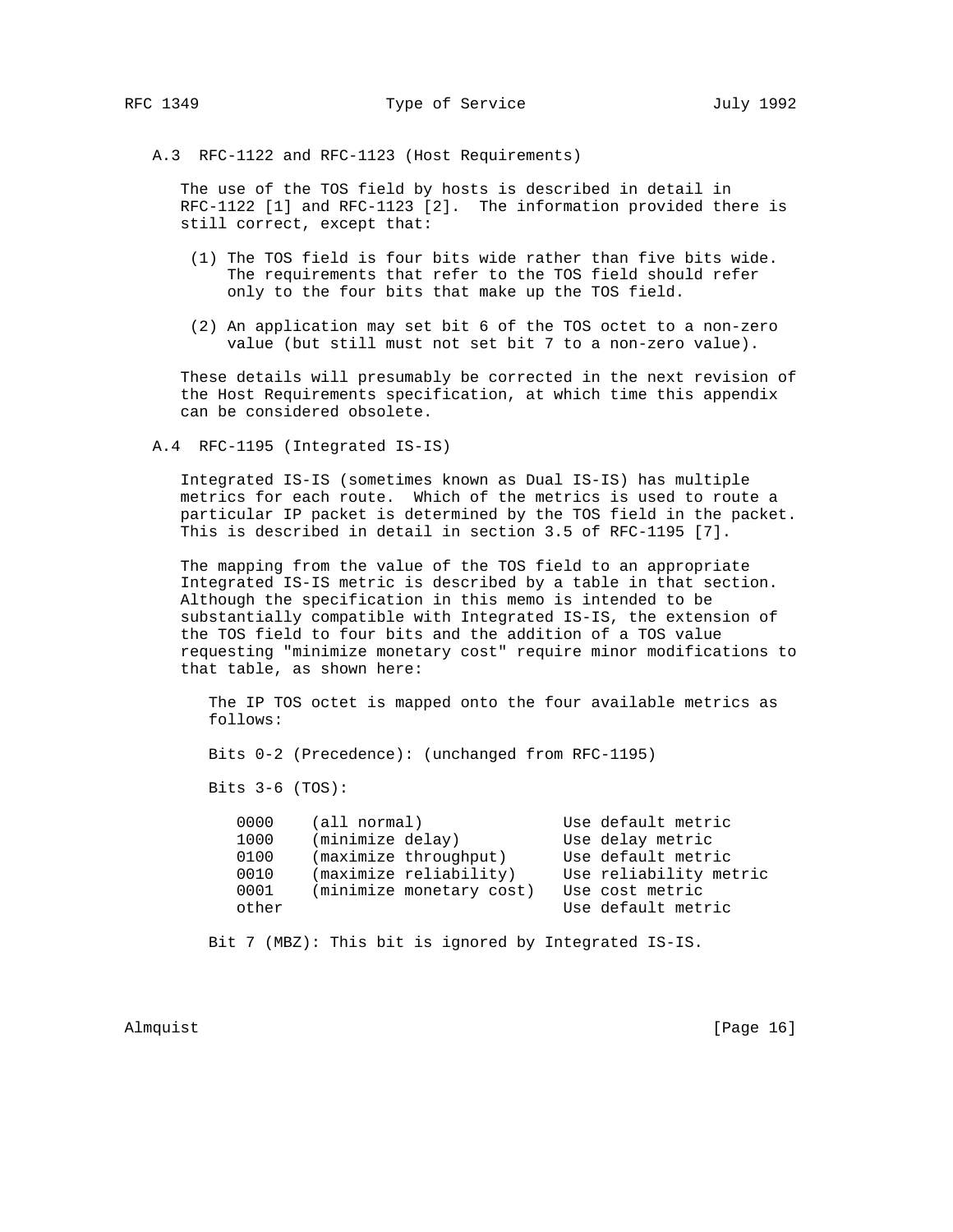A.3 RFC-1122 and RFC-1123 (Host Requirements)

 The use of the TOS field by hosts is described in detail in RFC-1122 [1] and RFC-1123 [2]. The information provided there is still correct, except that:

- (1) The TOS field is four bits wide rather than five bits wide. The requirements that refer to the TOS field should refer only to the four bits that make up the TOS field.
- (2) An application may set bit 6 of the TOS octet to a non-zero value (but still must not set bit 7 to a non-zero value).

 These details will presumably be corrected in the next revision of the Host Requirements specification, at which time this appendix can be considered obsolete.

A.4 RFC-1195 (Integrated IS-IS)

 Integrated IS-IS (sometimes known as Dual IS-IS) has multiple metrics for each route. Which of the metrics is used to route a particular IP packet is determined by the TOS field in the packet. This is described in detail in section 3.5 of RFC-1195 [7].

 The mapping from the value of the TOS field to an appropriate Integrated IS-IS metric is described by a table in that section. Although the specification in this memo is intended to be substantially compatible with Integrated IS-IS, the extension of the TOS field to four bits and the addition of a TOS value requesting "minimize monetary cost" require minor modifications to that table, as shown here:

 The IP TOS octet is mapped onto the four available metrics as follows:

Bits 0-2 (Precedence): (unchanged from RFC-1195)

Bits 3-6 (TOS):

 0000 (all normal) Use default metric 1000 (minimize delay) Use delay metric 0100 (maximize throughput) Use default metric 0010 (maximize reliability) Use reliability metric 0001 (minimize monetary cost) Use cost metric other Use default metric

Bit 7 (MBZ): This bit is ignored by Integrated IS-IS.

Almquist [Page 16]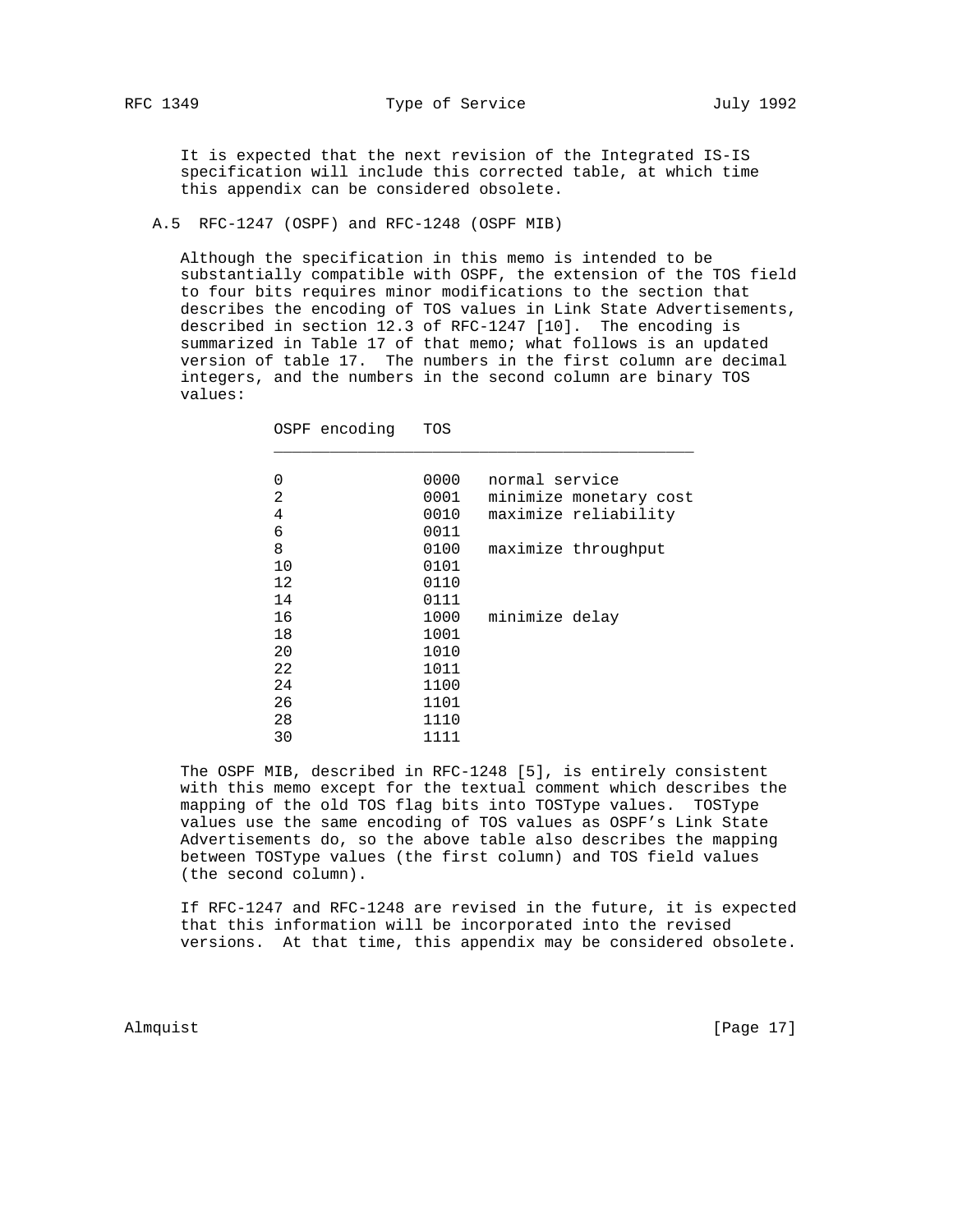It is expected that the next revision of the Integrated IS-IS specification will include this corrected table, at which time this appendix can be considered obsolete.

A.5 RFC-1247 (OSPF) and RFC-1248 (OSPF MIB)

OSPF encoding TOS

 Although the specification in this memo is intended to be substantially compatible with OSPF, the extension of the TOS field to four bits requires minor modifications to the section that describes the encoding of TOS values in Link State Advertisements, described in section 12.3 of RFC-1247 [10]. The encoding is summarized in Table 17 of that memo; what follows is an updated version of table 17. The numbers in the first column are decimal integers, and the numbers in the second column are binary TOS values:

| 0  | 0000 | normal service         |
|----|------|------------------------|
| 2  | 0001 | minimize monetary cost |
| 4  | 0010 | maximize reliability   |
| 6  | 0011 |                        |
| 8  | 0100 | maximize throughput    |
| 10 | 0101 |                        |
| 12 | 0110 |                        |
| 14 | 0111 |                        |
| 16 | 1000 | minimize delay         |
| 18 | 1001 |                        |
| 20 | 1010 |                        |
| 22 | 1011 |                        |
| 24 | 1100 |                        |
| 26 | 1101 |                        |
| 28 | 1110 |                        |
| 30 | 1111 |                        |
|    |      |                        |

 The OSPF MIB, described in RFC-1248 [5], is entirely consistent with this memo except for the textual comment which describes the mapping of the old TOS flag bits into TOSType values. TOSType values use the same encoding of TOS values as OSPF's Link State Advertisements do, so the above table also describes the mapping between TOSType values (the first column) and TOS field values (the second column).

 If RFC-1247 and RFC-1248 are revised in the future, it is expected that this information will be incorporated into the revised versions. At that time, this appendix may be considered obsolete.

Almquist [Page 17]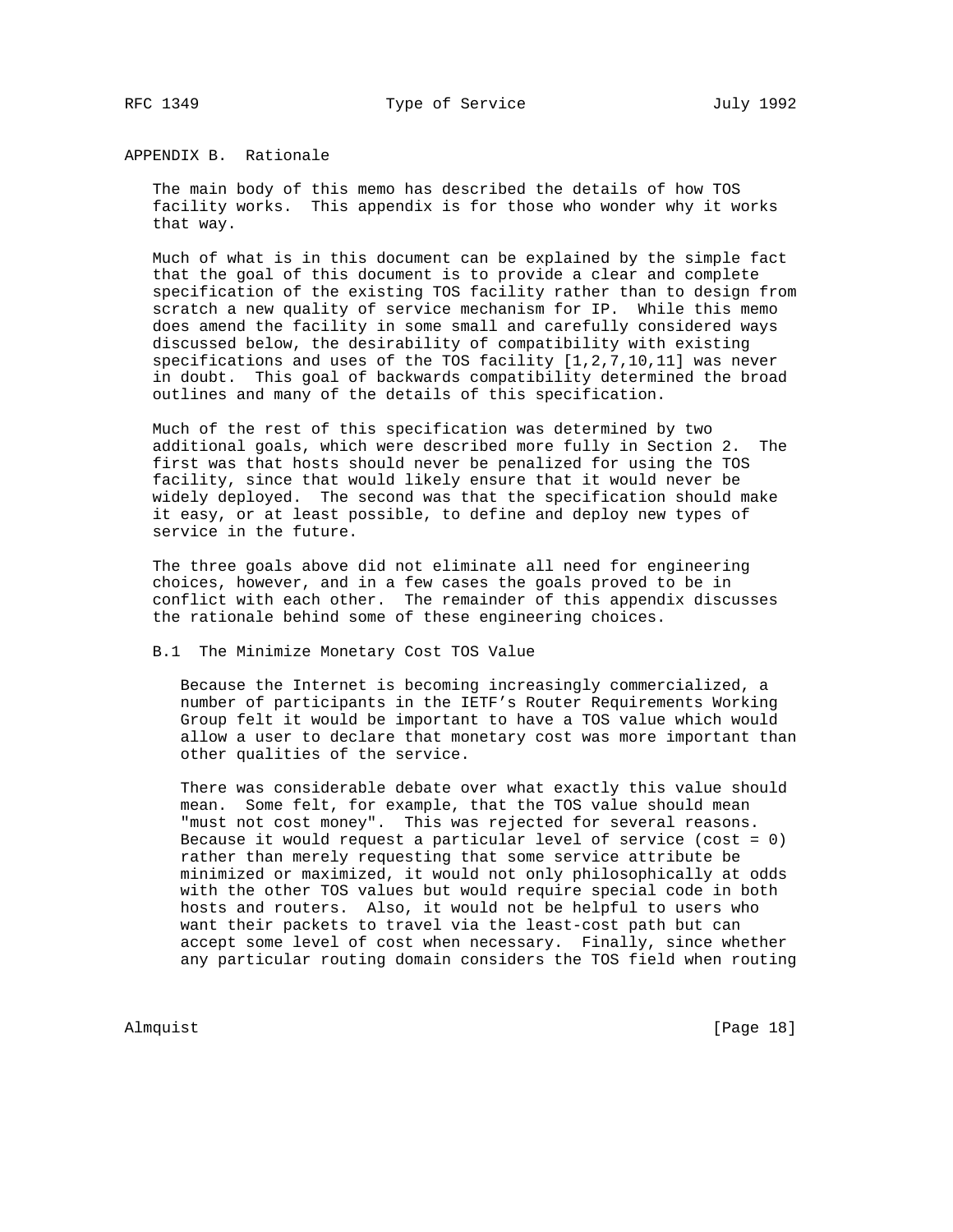APPENDIX B. Rationale

 The main body of this memo has described the details of how TOS facility works. This appendix is for those who wonder why it works that way.

 Much of what is in this document can be explained by the simple fact that the goal of this document is to provide a clear and complete specification of the existing TOS facility rather than to design from scratch a new quality of service mechanism for IP. While this memo does amend the facility in some small and carefully considered ways discussed below, the desirability of compatibility with existing specifications and uses of the TOS facility [1,2,7,10,11] was never in doubt. This goal of backwards compatibility determined the broad outlines and many of the details of this specification.

 Much of the rest of this specification was determined by two additional goals, which were described more fully in Section 2. The first was that hosts should never be penalized for using the TOS facility, since that would likely ensure that it would never be widely deployed. The second was that the specification should make it easy, or at least possible, to define and deploy new types of service in the future.

 The three goals above did not eliminate all need for engineering choices, however, and in a few cases the goals proved to be in conflict with each other. The remainder of this appendix discusses the rationale behind some of these engineering choices.

B.1 The Minimize Monetary Cost TOS Value

 Because the Internet is becoming increasingly commercialized, a number of participants in the IETF's Router Requirements Working Group felt it would be important to have a TOS value which would allow a user to declare that monetary cost was more important than other qualities of the service.

 There was considerable debate over what exactly this value should mean. Some felt, for example, that the TOS value should mean "must not cost money". This was rejected for several reasons. Because it would request a particular level of service (cost = 0) rather than merely requesting that some service attribute be minimized or maximized, it would not only philosophically at odds with the other TOS values but would require special code in both hosts and routers. Also, it would not be helpful to users who want their packets to travel via the least-cost path but can accept some level of cost when necessary. Finally, since whether any particular routing domain considers the TOS field when routing

Almquist [Page 18]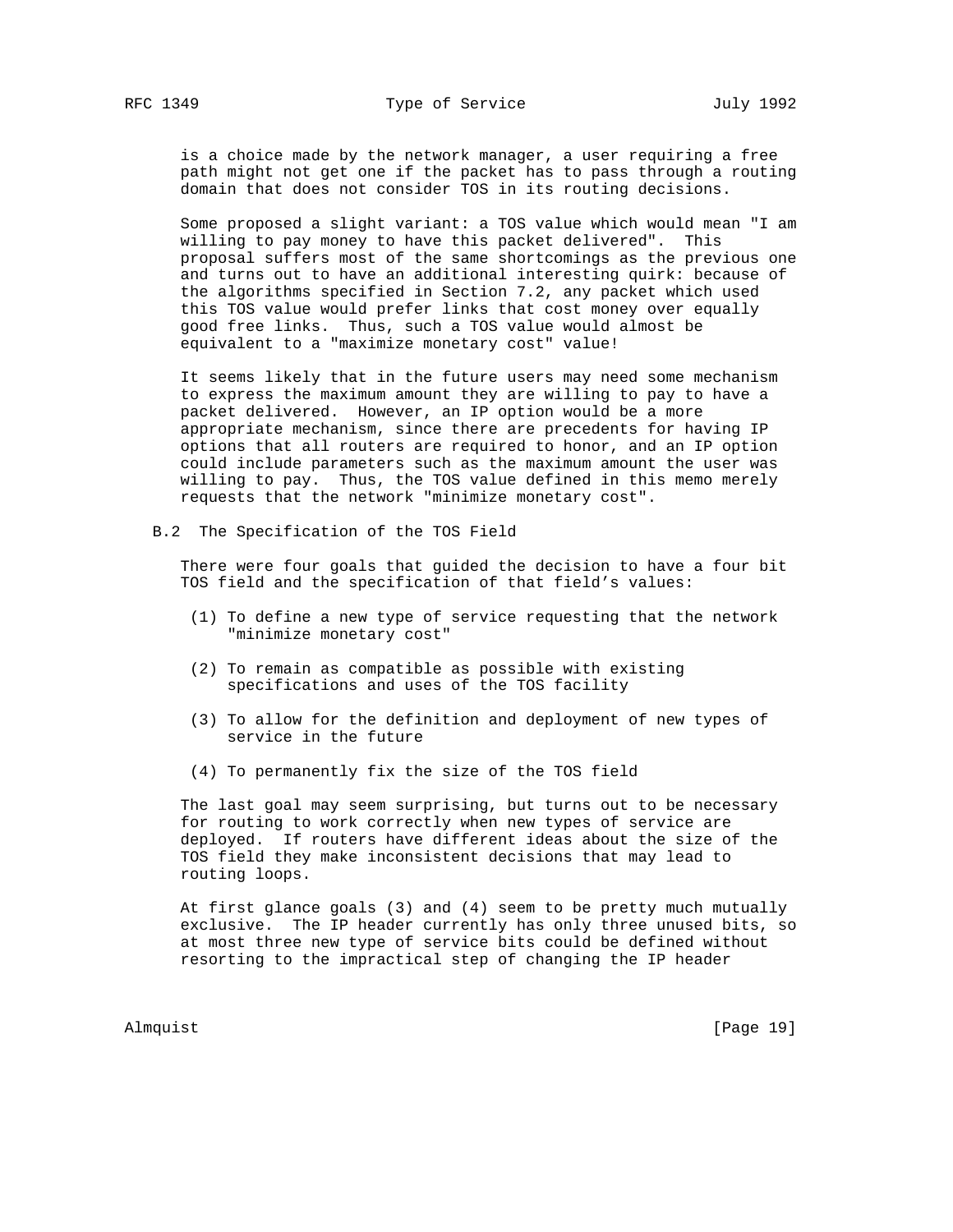is a choice made by the network manager, a user requiring a free path might not get one if the packet has to pass through a routing domain that does not consider TOS in its routing decisions.

 Some proposed a slight variant: a TOS value which would mean "I am willing to pay money to have this packet delivered". This proposal suffers most of the same shortcomings as the previous one and turns out to have an additional interesting quirk: because of the algorithms specified in Section 7.2, any packet which used this TOS value would prefer links that cost money over equally good free links. Thus, such a TOS value would almost be equivalent to a "maximize monetary cost" value!

 It seems likely that in the future users may need some mechanism to express the maximum amount they are willing to pay to have a packet delivered. However, an IP option would be a more appropriate mechanism, since there are precedents for having IP options that all routers are required to honor, and an IP option could include parameters such as the maximum amount the user was willing to pay. Thus, the TOS value defined in this memo merely requests that the network "minimize monetary cost".

B.2 The Specification of the TOS Field

 There were four goals that guided the decision to have a four bit TOS field and the specification of that field's values:

- (1) To define a new type of service requesting that the network "minimize monetary cost"
- (2) To remain as compatible as possible with existing specifications and uses of the TOS facility
- (3) To allow for the definition and deployment of new types of service in the future
- (4) To permanently fix the size of the TOS field

 The last goal may seem surprising, but turns out to be necessary for routing to work correctly when new types of service are deployed. If routers have different ideas about the size of the TOS field they make inconsistent decisions that may lead to routing loops.

 At first glance goals (3) and (4) seem to be pretty much mutually exclusive. The IP header currently has only three unused bits, so at most three new type of service bits could be defined without resorting to the impractical step of changing the IP header

Almquist [Page 19]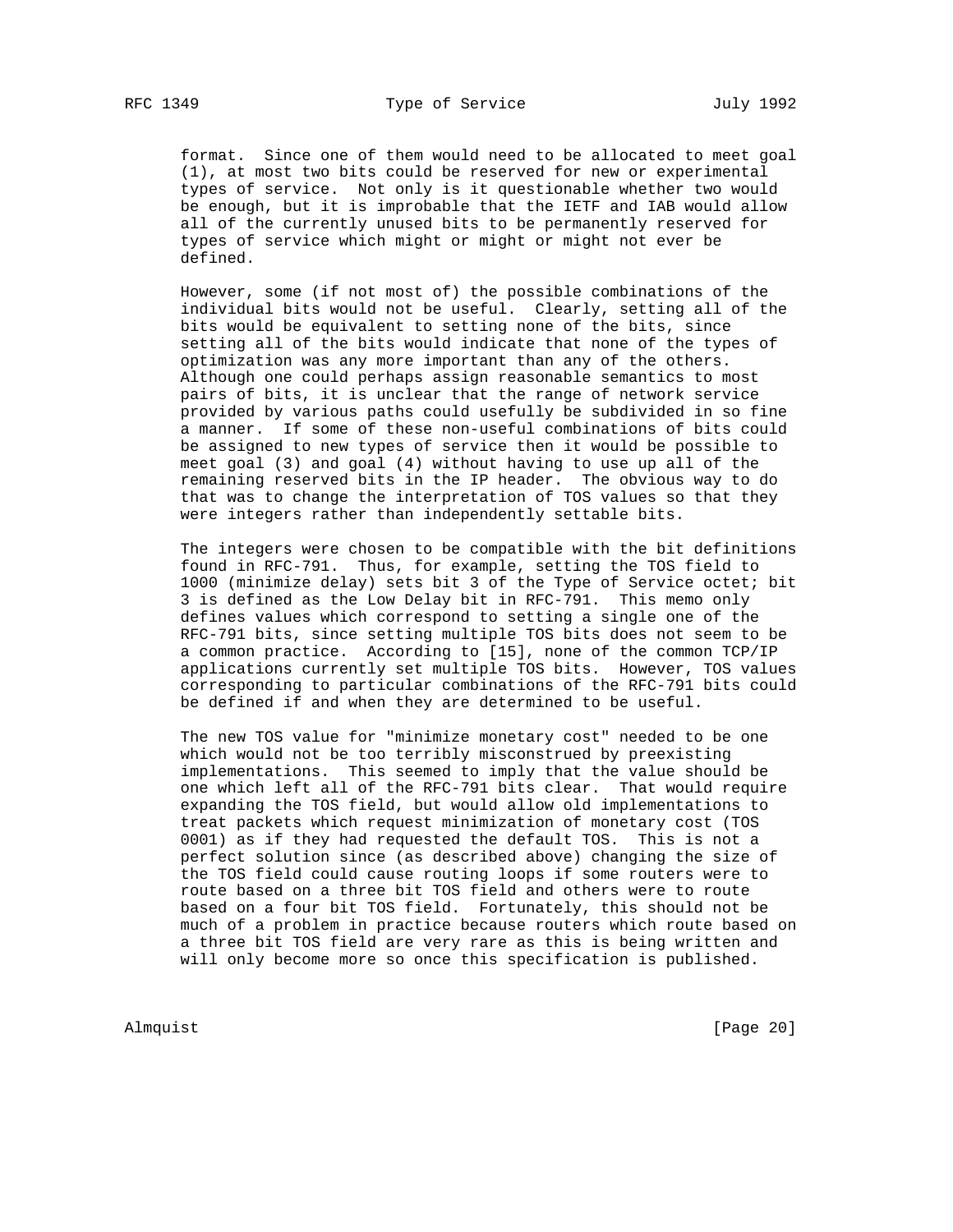format. Since one of them would need to be allocated to meet goal (1), at most two bits could be reserved for new or experimental types of service. Not only is it questionable whether two would be enough, but it is improbable that the IETF and IAB would allow all of the currently unused bits to be permanently reserved for types of service which might or might or might not ever be defined.

 However, some (if not most of) the possible combinations of the individual bits would not be useful. Clearly, setting all of the bits would be equivalent to setting none of the bits, since setting all of the bits would indicate that none of the types of optimization was any more important than any of the others. Although one could perhaps assign reasonable semantics to most pairs of bits, it is unclear that the range of network service provided by various paths could usefully be subdivided in so fine a manner. If some of these non-useful combinations of bits could be assigned to new types of service then it would be possible to meet goal (3) and goal (4) without having to use up all of the remaining reserved bits in the IP header. The obvious way to do that was to change the interpretation of TOS values so that they were integers rather than independently settable bits.

 The integers were chosen to be compatible with the bit definitions found in RFC-791. Thus, for example, setting the TOS field to 1000 (minimize delay) sets bit 3 of the Type of Service octet; bit 3 is defined as the Low Delay bit in RFC-791. This memo only defines values which correspond to setting a single one of the RFC-791 bits, since setting multiple TOS bits does not seem to be a common practice. According to [15], none of the common TCP/IP applications currently set multiple TOS bits. However, TOS values corresponding to particular combinations of the RFC-791 bits could be defined if and when they are determined to be useful.

 The new TOS value for "minimize monetary cost" needed to be one which would not be too terribly misconstrued by preexisting implementations. This seemed to imply that the value should be one which left all of the RFC-791 bits clear. That would require expanding the TOS field, but would allow old implementations to treat packets which request minimization of monetary cost (TOS 0001) as if they had requested the default TOS. This is not a perfect solution since (as described above) changing the size of the TOS field could cause routing loops if some routers were to route based on a three bit TOS field and others were to route based on a four bit TOS field. Fortunately, this should not be much of a problem in practice because routers which route based on a three bit TOS field are very rare as this is being written and will only become more so once this specification is published.

Almquist [Page 20]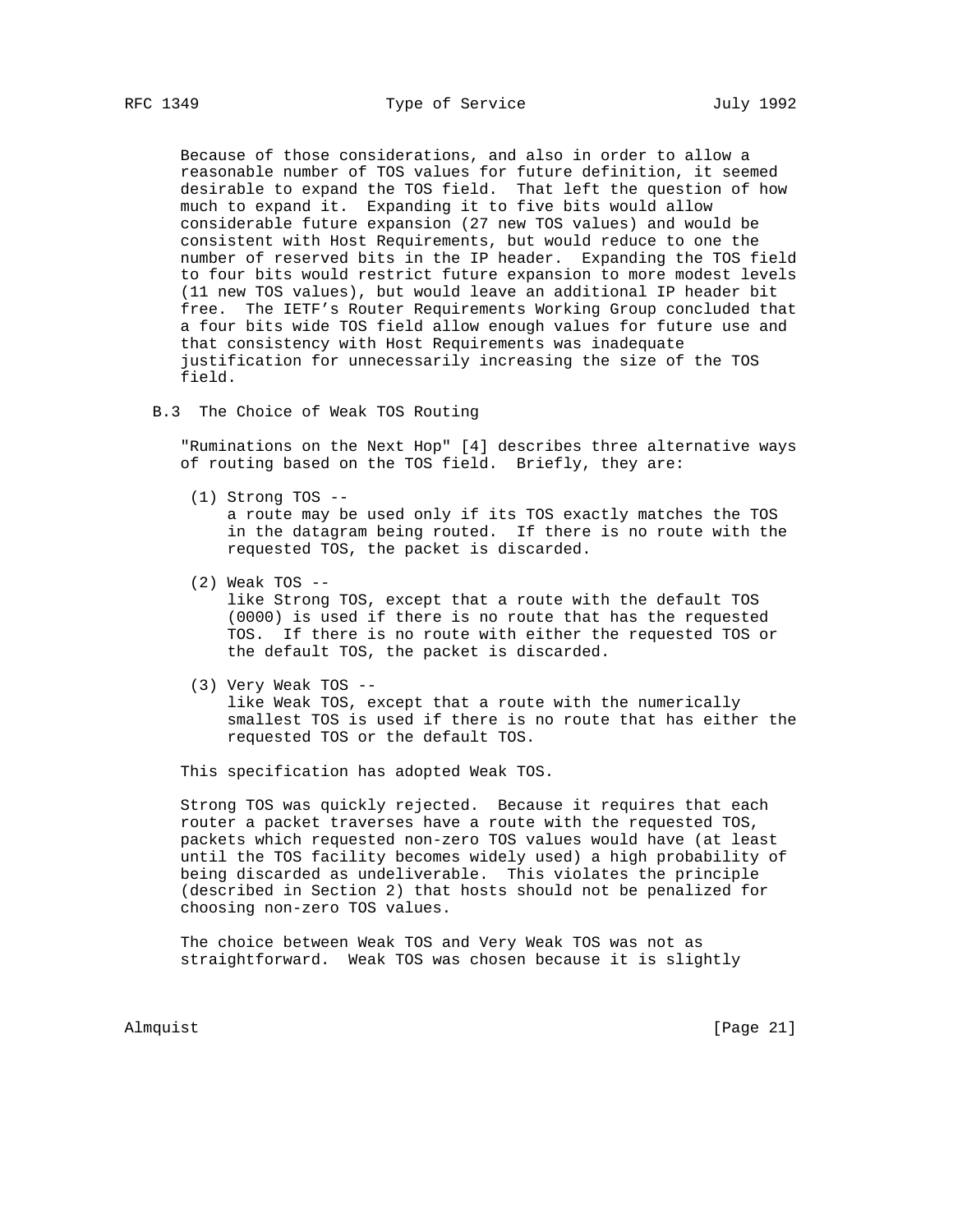Because of those considerations, and also in order to allow a reasonable number of TOS values for future definition, it seemed desirable to expand the TOS field. That left the question of how much to expand it. Expanding it to five bits would allow considerable future expansion (27 new TOS values) and would be consistent with Host Requirements, but would reduce to one the number of reserved bits in the IP header. Expanding the TOS field to four bits would restrict future expansion to more modest levels (11 new TOS values), but would leave an additional IP header bit free. The IETF's Router Requirements Working Group concluded that a four bits wide TOS field allow enough values for future use and that consistency with Host Requirements was inadequate justification for unnecessarily increasing the size of the TOS field.

B.3 The Choice of Weak TOS Routing

 "Ruminations on the Next Hop" [4] describes three alternative ways of routing based on the TOS field. Briefly, they are:

- (1) Strong TOS a route may be used only if its TOS exactly matches the TOS in the datagram being routed. If there is no route with the requested TOS, the packet is discarded.
- $(2)$  Weak TOS  $$  like Strong TOS, except that a route with the default TOS (0000) is used if there is no route that has the requested TOS. If there is no route with either the requested TOS or the default TOS, the packet is discarded.
- (3) Very Weak TOS like Weak TOS, except that a route with the numerically smallest TOS is used if there is no route that has either the requested TOS or the default TOS.

This specification has adopted Weak TOS.

 Strong TOS was quickly rejected. Because it requires that each router a packet traverses have a route with the requested TOS, packets which requested non-zero TOS values would have (at least until the TOS facility becomes widely used) a high probability of being discarded as undeliverable. This violates the principle (described in Section 2) that hosts should not be penalized for choosing non-zero TOS values.

 The choice between Weak TOS and Very Weak TOS was not as straightforward. Weak TOS was chosen because it is slightly

Almquist [Page 21]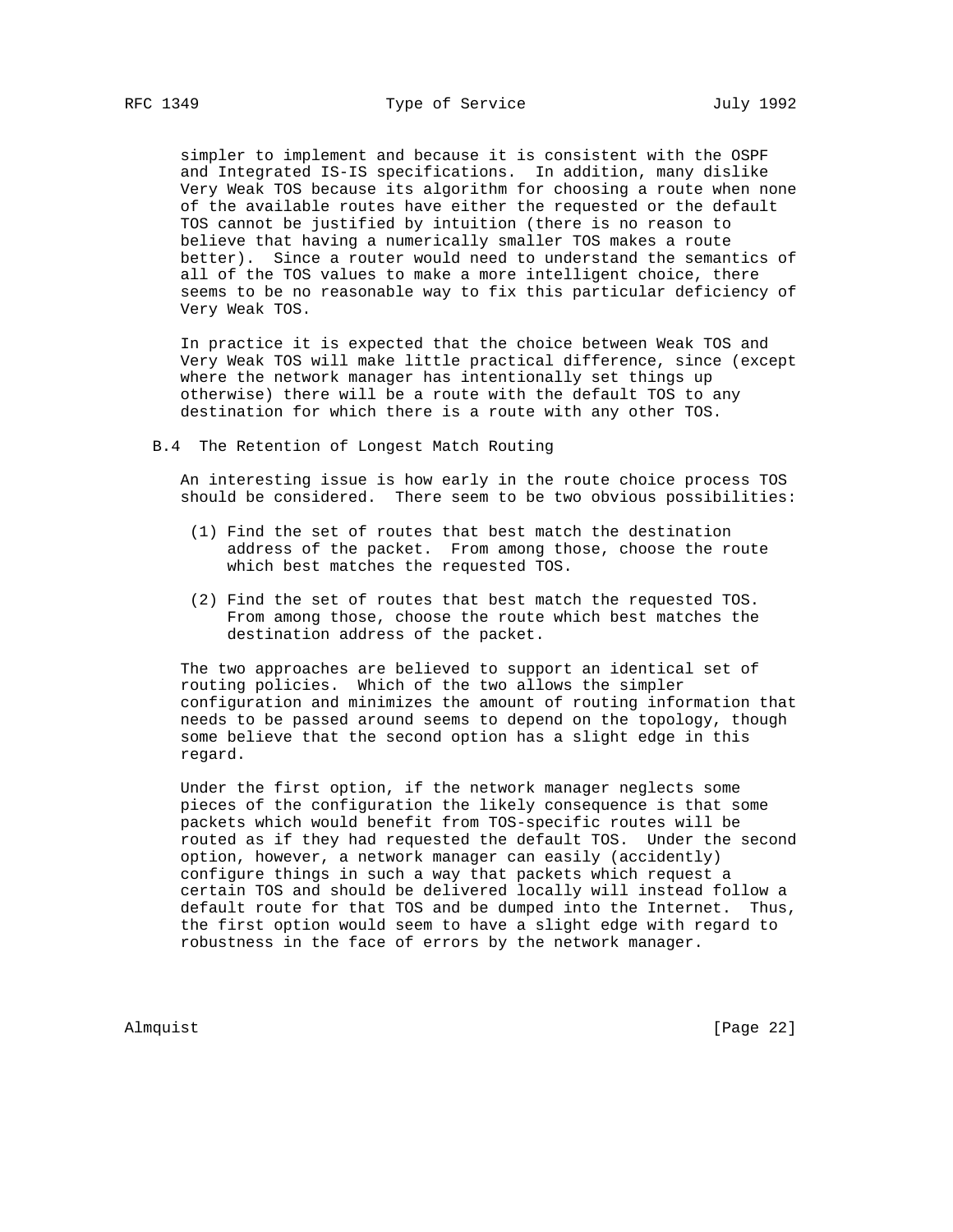simpler to implement and because it is consistent with the OSPF and Integrated IS-IS specifications. In addition, many dislike Very Weak TOS because its algorithm for choosing a route when none of the available routes have either the requested or the default TOS cannot be justified by intuition (there is no reason to believe that having a numerically smaller TOS makes a route better). Since a router would need to understand the semantics of all of the TOS values to make a more intelligent choice, there seems to be no reasonable way to fix this particular deficiency of Very Weak TOS.

 In practice it is expected that the choice between Weak TOS and Very Weak TOS will make little practical difference, since (except where the network manager has intentionally set things up otherwise) there will be a route with the default TOS to any destination for which there is a route with any other TOS.

B.4 The Retention of Longest Match Routing

 An interesting issue is how early in the route choice process TOS should be considered. There seem to be two obvious possibilities:

- (1) Find the set of routes that best match the destination address of the packet. From among those, choose the route which best matches the requested TOS.
- (2) Find the set of routes that best match the requested TOS. From among those, choose the route which best matches the destination address of the packet.

 The two approaches are believed to support an identical set of routing policies. Which of the two allows the simpler configuration and minimizes the amount of routing information that needs to be passed around seems to depend on the topology, though some believe that the second option has a slight edge in this regard.

 Under the first option, if the network manager neglects some pieces of the configuration the likely consequence is that some packets which would benefit from TOS-specific routes will be routed as if they had requested the default TOS. Under the second option, however, a network manager can easily (accidently) configure things in such a way that packets which request a certain TOS and should be delivered locally will instead follow a default route for that TOS and be dumped into the Internet. Thus, the first option would seem to have a slight edge with regard to robustness in the face of errors by the network manager.

Almquist [Page 22]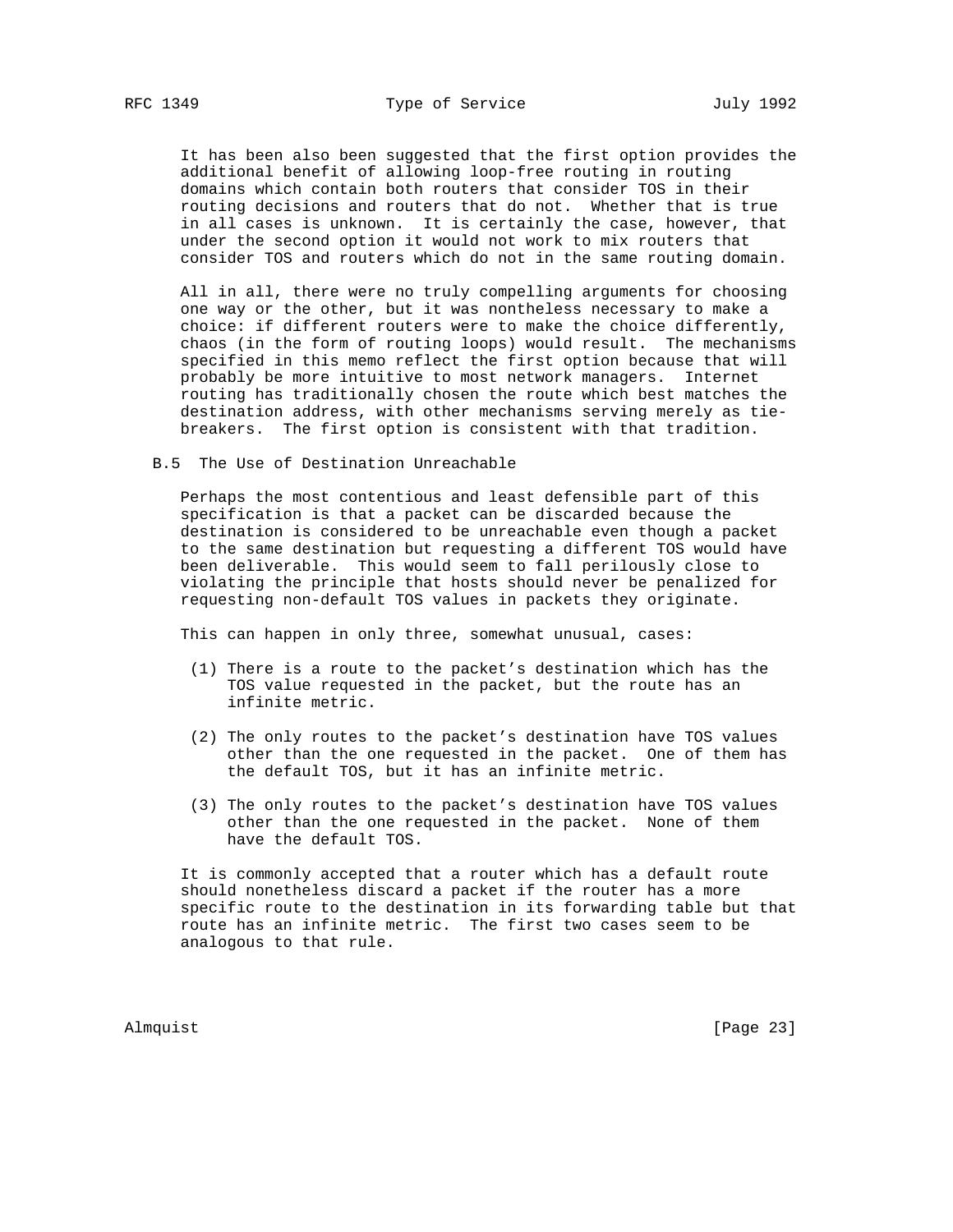It has been also been suggested that the first option provides the additional benefit of allowing loop-free routing in routing domains which contain both routers that consider TOS in their routing decisions and routers that do not. Whether that is true in all cases is unknown. It is certainly the case, however, that under the second option it would not work to mix routers that consider TOS and routers which do not in the same routing domain.

 All in all, there were no truly compelling arguments for choosing one way or the other, but it was nontheless necessary to make a choice: if different routers were to make the choice differently, chaos (in the form of routing loops) would result. The mechanisms specified in this memo reflect the first option because that will probably be more intuitive to most network managers. Internet routing has traditionally chosen the route which best matches the destination address, with other mechanisms serving merely as tie breakers. The first option is consistent with that tradition.

B.5 The Use of Destination Unreachable

 Perhaps the most contentious and least defensible part of this specification is that a packet can be discarded because the destination is considered to be unreachable even though a packet to the same destination but requesting a different TOS would have been deliverable. This would seem to fall perilously close to violating the principle that hosts should never be penalized for requesting non-default TOS values in packets they originate.

This can happen in only three, somewhat unusual, cases:

- (1) There is a route to the packet's destination which has the TOS value requested in the packet, but the route has an infinite metric.
- (2) The only routes to the packet's destination have TOS values other than the one requested in the packet. One of them has the default TOS, but it has an infinite metric.
- (3) The only routes to the packet's destination have TOS values other than the one requested in the packet. None of them have the default TOS.

 It is commonly accepted that a router which has a default route should nonetheless discard a packet if the router has a more specific route to the destination in its forwarding table but that route has an infinite metric. The first two cases seem to be analogous to that rule.

Almquist [Page 23]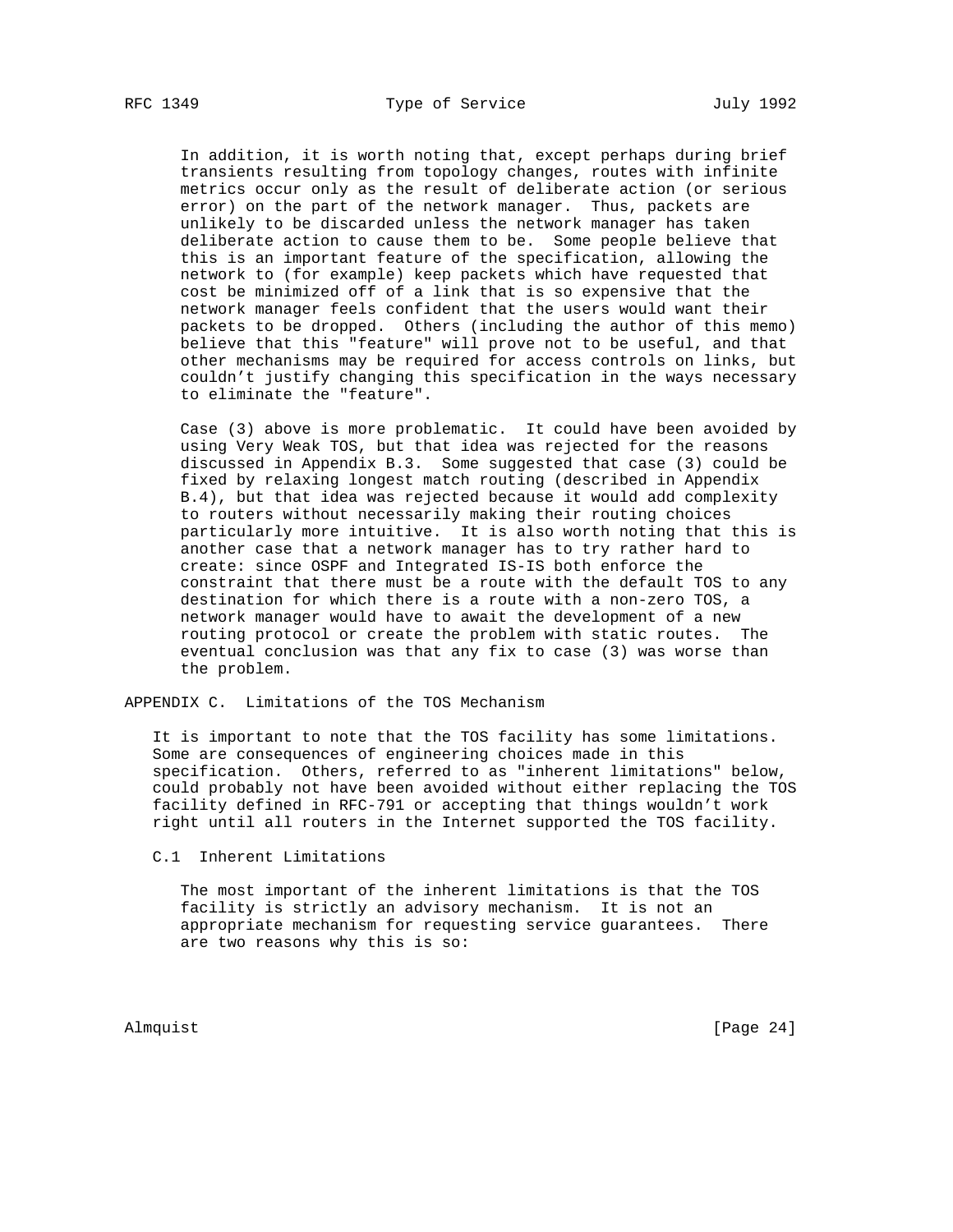In addition, it is worth noting that, except perhaps during brief transients resulting from topology changes, routes with infinite metrics occur only as the result of deliberate action (or serious error) on the part of the network manager. Thus, packets are unlikely to be discarded unless the network manager has taken deliberate action to cause them to be. Some people believe that this is an important feature of the specification, allowing the network to (for example) keep packets which have requested that cost be minimized off of a link that is so expensive that the network manager feels confident that the users would want their packets to be dropped. Others (including the author of this memo) believe that this "feature" will prove not to be useful, and that other mechanisms may be required for access controls on links, but couldn't justify changing this specification in the ways necessary to eliminate the "feature".

 Case (3) above is more problematic. It could have been avoided by using Very Weak TOS, but that idea was rejected for the reasons discussed in Appendix B.3. Some suggested that case (3) could be fixed by relaxing longest match routing (described in Appendix B.4), but that idea was rejected because it would add complexity to routers without necessarily making their routing choices particularly more intuitive. It is also worth noting that this is another case that a network manager has to try rather hard to create: since OSPF and Integrated IS-IS both enforce the constraint that there must be a route with the default TOS to any destination for which there is a route with a non-zero TOS, a network manager would have to await the development of a new routing protocol or create the problem with static routes. The eventual conclusion was that any fix to case (3) was worse than the problem.

APPENDIX C. Limitations of the TOS Mechanism

 It is important to note that the TOS facility has some limitations. Some are consequences of engineering choices made in this specification. Others, referred to as "inherent limitations" below, could probably not have been avoided without either replacing the TOS facility defined in RFC-791 or accepting that things wouldn't work right until all routers in the Internet supported the TOS facility.

C.1 Inherent Limitations

 The most important of the inherent limitations is that the TOS facility is strictly an advisory mechanism. It is not an appropriate mechanism for requesting service guarantees. There are two reasons why this is so:

Almquist [Page 24]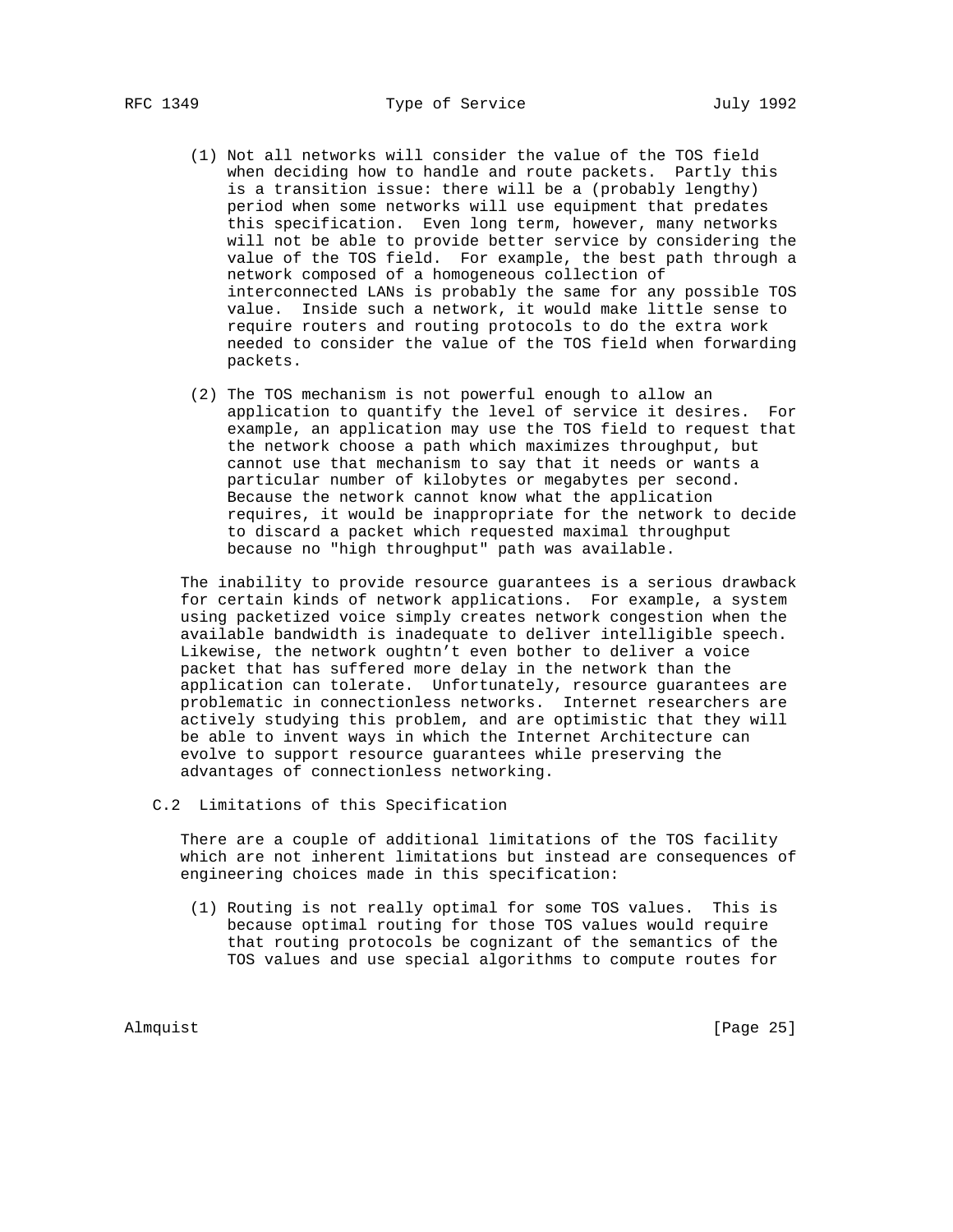- (1) Not all networks will consider the value of the TOS field when deciding how to handle and route packets. Partly this is a transition issue: there will be a (probably lengthy) period when some networks will use equipment that predates this specification. Even long term, however, many networks will not be able to provide better service by considering the value of the TOS field. For example, the best path through a network composed of a homogeneous collection of interconnected LANs is probably the same for any possible TOS value. Inside such a network, it would make little sense to require routers and routing protocols to do the extra work needed to consider the value of the TOS field when forwarding packets.
- (2) The TOS mechanism is not powerful enough to allow an application to quantify the level of service it desires. For example, an application may use the TOS field to request that the network choose a path which maximizes throughput, but cannot use that mechanism to say that it needs or wants a particular number of kilobytes or megabytes per second. Because the network cannot know what the application requires, it would be inappropriate for the network to decide to discard a packet which requested maximal throughput because no "high throughput" path was available.

 The inability to provide resource guarantees is a serious drawback for certain kinds of network applications. For example, a system using packetized voice simply creates network congestion when the available bandwidth is inadequate to deliver intelligible speech. Likewise, the network oughtn't even bother to deliver a voice packet that has suffered more delay in the network than the application can tolerate. Unfortunately, resource guarantees are problematic in connectionless networks. Internet researchers are actively studying this problem, and are optimistic that they will be able to invent ways in which the Internet Architecture can evolve to support resource guarantees while preserving the advantages of connectionless networking.

C.2 Limitations of this Specification

 There are a couple of additional limitations of the TOS facility which are not inherent limitations but instead are consequences of engineering choices made in this specification:

 (1) Routing is not really optimal for some TOS values. This is because optimal routing for those TOS values would require that routing protocols be cognizant of the semantics of the TOS values and use special algorithms to compute routes for

Almquist [Page 25]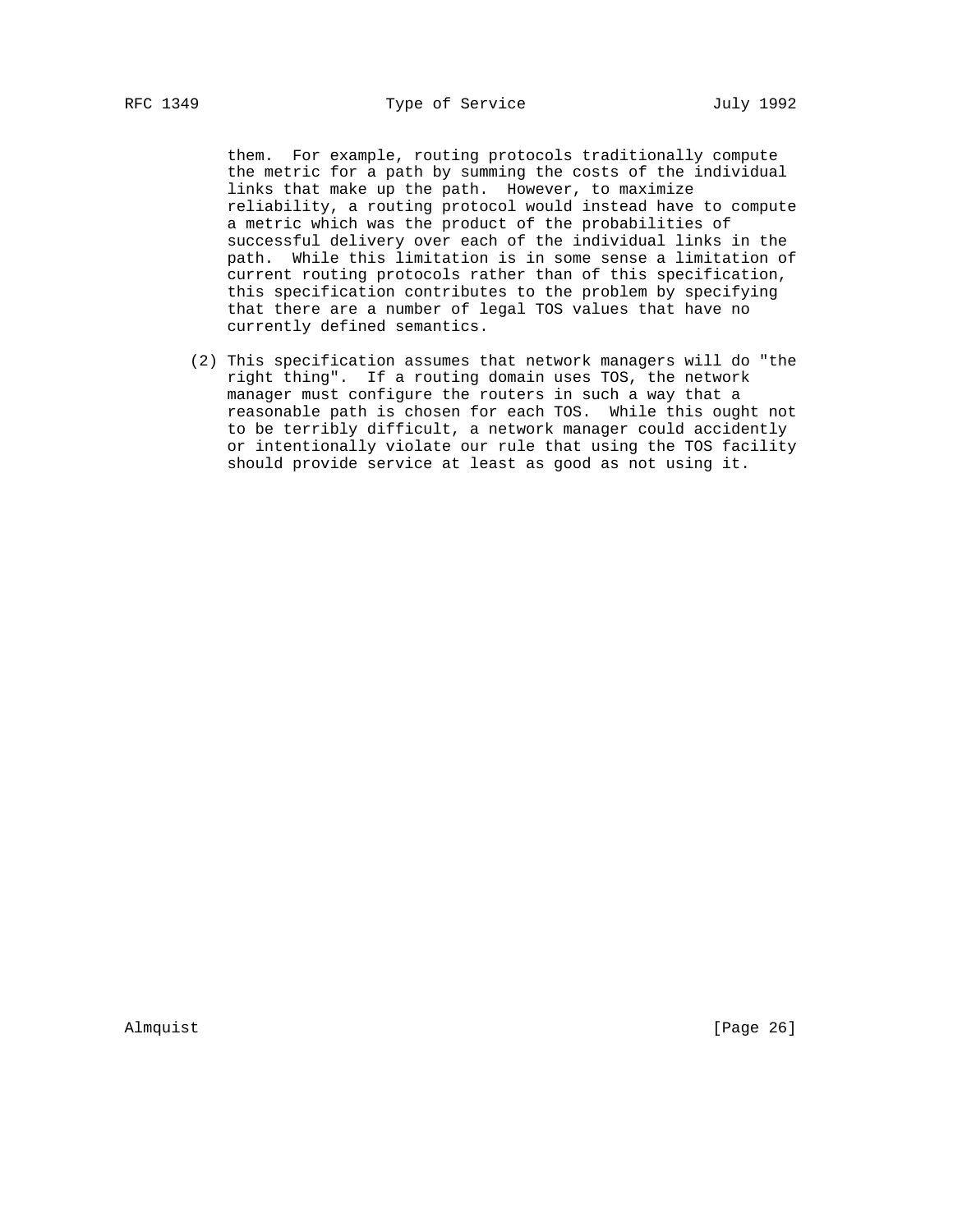them. For example, routing protocols traditionally compute the metric for a path by summing the costs of the individual links that make up the path. However, to maximize reliability, a routing protocol would instead have to compute a metric which was the product of the probabilities of successful delivery over each of the individual links in the path. While this limitation is in some sense a limitation of current routing protocols rather than of this specification, this specification contributes to the problem by specifying that there are a number of legal TOS values that have no currently defined semantics.

 (2) This specification assumes that network managers will do "the right thing". If a routing domain uses TOS, the network manager must configure the routers in such a way that a reasonable path is chosen for each TOS. While this ought not to be terribly difficult, a network manager could accidently or intentionally violate our rule that using the TOS facility should provide service at least as good as not using it.

Almquist [Page 26]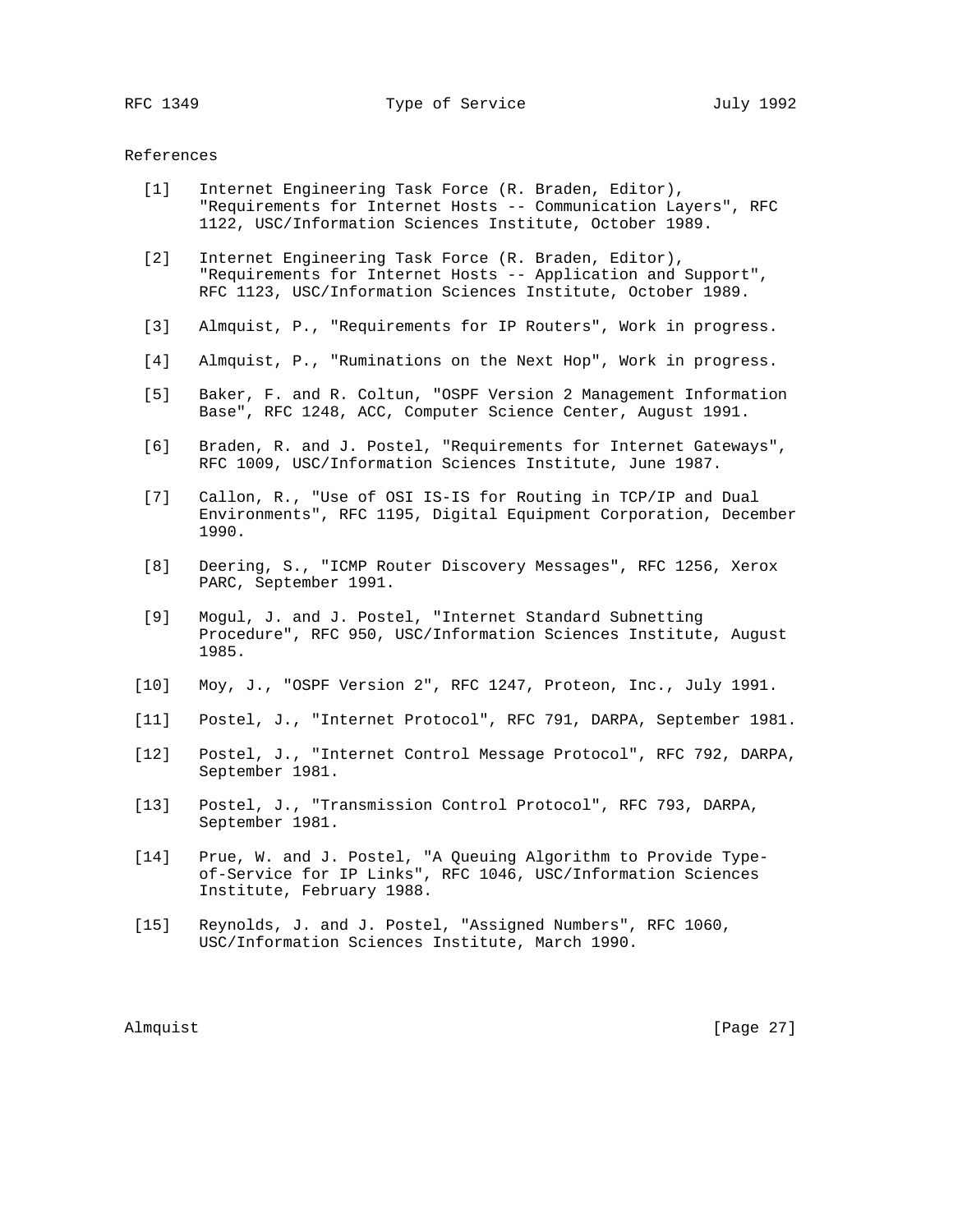### References

- [1] Internet Engineering Task Force (R. Braden, Editor), "Requirements for Internet Hosts -- Communication Layers", RFC 1122, USC/Information Sciences Institute, October 1989.
- [2] Internet Engineering Task Force (R. Braden, Editor), "Requirements for Internet Hosts -- Application and Support", RFC 1123, USC/Information Sciences Institute, October 1989.
- [3] Almquist, P., "Requirements for IP Routers", Work in progress.
- [4] Almquist, P., "Ruminations on the Next Hop", Work in progress.
- [5] Baker, F. and R. Coltun, "OSPF Version 2 Management Information Base", RFC 1248, ACC, Computer Science Center, August 1991.
- [6] Braden, R. and J. Postel, "Requirements for Internet Gateways", RFC 1009, USC/Information Sciences Institute, June 1987.
- [7] Callon, R., "Use of OSI IS-IS for Routing in TCP/IP and Dual Environments", RFC 1195, Digital Equipment Corporation, December 1990.
- [8] Deering, S., "ICMP Router Discovery Messages", RFC 1256, Xerox PARC, September 1991.
- [9] Mogul, J. and J. Postel, "Internet Standard Subnetting Procedure", RFC 950, USC/Information Sciences Institute, August 1985.
- [10] Moy, J., "OSPF Version 2", RFC 1247, Proteon, Inc., July 1991.
- [11] Postel, J., "Internet Protocol", RFC 791, DARPA, September 1981.
- [12] Postel, J., "Internet Control Message Protocol", RFC 792, DARPA, September 1981.
- [13] Postel, J., "Transmission Control Protocol", RFC 793, DARPA, September 1981.
- [14] Prue, W. and J. Postel, "A Queuing Algorithm to Provide Type of-Service for IP Links", RFC 1046, USC/Information Sciences Institute, February 1988.
- [15] Reynolds, J. and J. Postel, "Assigned Numbers", RFC 1060, USC/Information Sciences Institute, March 1990.

Almquist [Page 27]